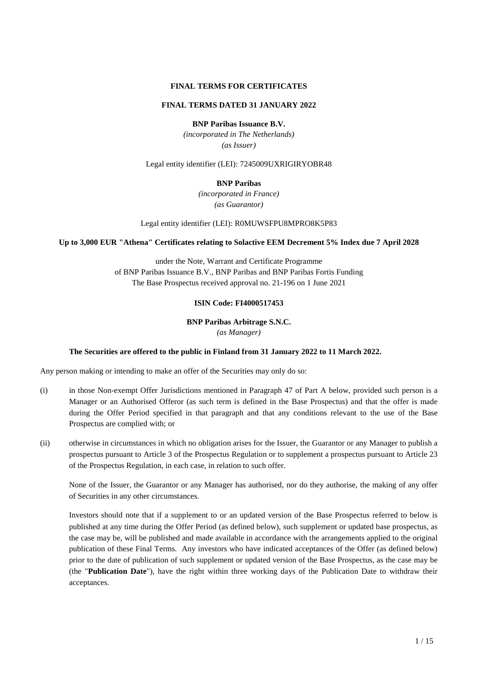# **FINAL TERMS FOR CERTIFICATES**

# **FINAL TERMS DATED 31 JANUARY 2022**

**BNP Paribas Issuance B.V.**

*(incorporated in The Netherlands) (as Issuer)*

Legal entity identifier (LEI): 7245009UXRIGIRYOBR48

# **BNP Paribas**

*(incorporated in France) (as Guarantor)*

Legal entity identifier (LEI): R0MUWSFPU8MPRO8K5P83

# **Up to 3,000 EUR "Athena" Certificates relating to Solactive EEM Decrement 5% Index due 7 April 2028**

under the Note, Warrant and Certificate Programme of BNP Paribas Issuance B.V., BNP Paribas and BNP Paribas Fortis Funding The Base Prospectus received approval no. 21-196 on 1 June 2021

# **ISIN Code: FI4000517453**

**BNP Paribas Arbitrage S.N.C.**

*(as Manager)* 

# **The Securities are offered to the public in Finland from 31 January 2022 to 11 March 2022.**

Any person making or intending to make an offer of the Securities may only do so:

- (i) in those Non-exempt Offer Jurisdictions mentioned in Paragraph 47 of Part A below, provided such person is a Manager or an Authorised Offeror (as such term is defined in the Base Prospectus) and that the offer is made during the Offer Period specified in that paragraph and that any conditions relevant to the use of the Base Prospectus are complied with; or
- (ii) otherwise in circumstances in which no obligation arises for the Issuer, the Guarantor or any Manager to publish a prospectus pursuant to Article 3 of the Prospectus Regulation or to supplement a prospectus pursuant to Article 23 of the Prospectus Regulation, in each case, in relation to such offer.

None of the Issuer, the Guarantor or any Manager has authorised, nor do they authorise, the making of any offer of Securities in any other circumstances.

Investors should note that if a supplement to or an updated version of the Base Prospectus referred to below is published at any time during the Offer Period (as defined below), such supplement or updated base prospectus, as the case may be, will be published and made available in accordance with the arrangements applied to the original publication of these Final Terms. Any investors who have indicated acceptances of the Offer (as defined below) prior to the date of publication of such supplement or updated version of the Base Prospectus, as the case may be (the "**Publication Date**"), have the right within three working days of the Publication Date to withdraw their acceptances.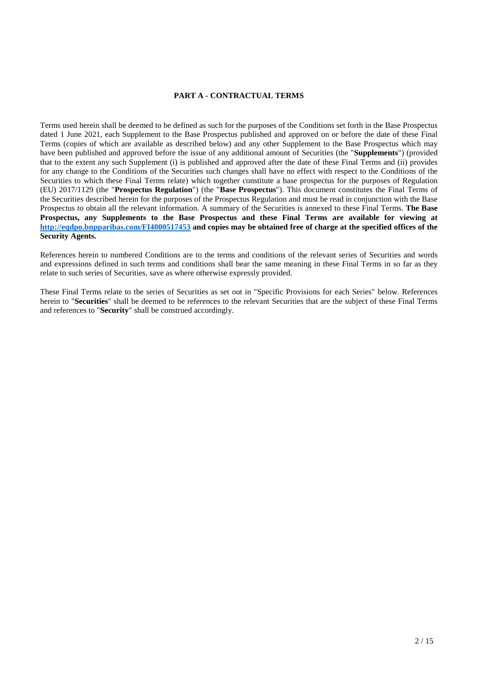# **PART A - CONTRACTUAL TERMS**

Terms used herein shall be deemed to be defined as such for the purposes of the Conditions set forth in the Base Prospectus dated 1 June 2021, each Supplement to the Base Prospectus published and approved on or before the date of these Final Terms (copies of which are available as described below) and any other Supplement to the Base Prospectus which may have been published and approved before the issue of any additional amount of Securities (the "**Supplements**") (provided that to the extent any such Supplement (i) is published and approved after the date of these Final Terms and (ii) provides for any change to the Conditions of the Securities such changes shall have no effect with respect to the Conditions of the Securities to which these Final Terms relate) which together constitute a base prospectus for the purposes of Regulation (EU) 2017/1129 (the "**Prospectus Regulation**") (the "**Base Prospectus**"). This document constitutes the Final Terms of the Securities described herein for the purposes of the Prospectus Regulation and must be read in conjunction with the Base Prospectus to obtain all the relevant information. A summary of the Securities is annexed to these Final Terms. **The Base Prospectus, any Supplements to the Base Prospectus and these Final Terms are available for viewing at http://eqdpo.bnpparibas.com/FI4000517453 and copies may be obtained free of charge at the specified offices of the Security Agents.**

References herein to numbered Conditions are to the terms and conditions of the relevant series of Securities and words and expressions defined in such terms and conditions shall bear the same meaning in these Final Terms in so far as they relate to such series of Securities, save as where otherwise expressly provided.

These Final Terms relate to the series of Securities as set out in "Specific Provisions for each Series" below. References herein to "**Securities**" shall be deemed to be references to the relevant Securities that are the subject of these Final Terms and references to "**Security**" shall be construed accordingly.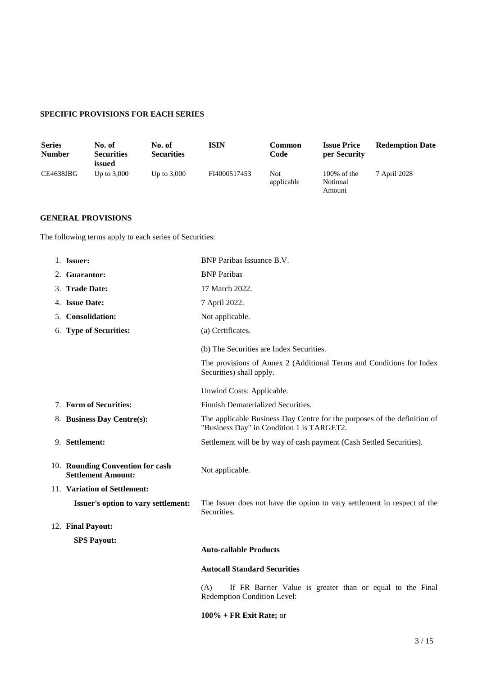# **SPECIFIC PROVISIONS FOR EACH SERIES**

| <b>Series</b><br><b>Number</b> | No. of<br><b>Securities</b><br>issued | No. of<br><b>Securities</b> | <b>ISIN</b>  | Common<br>Code    | <b>Issue Price</b><br>per Security   | <b>Redemption Date</b> |
|--------------------------------|---------------------------------------|-----------------------------|--------------|-------------------|--------------------------------------|------------------------|
| CE4638JBG                      | Up to $3,000$                         | Up to $3,000$               | FI4000517453 | Not<br>applicable | $100\%$ of the<br>Notional<br>Amount | 7 April 2028           |

# **GENERAL PROVISIONS**

The following terms apply to each series of Securities:

| 1. Issuer:                                                    | <b>BNP</b> Paribas Issuance B.V.                                                                                      |
|---------------------------------------------------------------|-----------------------------------------------------------------------------------------------------------------------|
| 2. Guarantor:                                                 | <b>BNP</b> Paribas                                                                                                    |
| 3. Trade Date:                                                | 17 March 2022.                                                                                                        |
| 4. Issue Date:                                                | 7 April 2022.                                                                                                         |
| 5. Consolidation:                                             | Not applicable.                                                                                                       |
| 6. Type of Securities:                                        | (a) Certificates.                                                                                                     |
|                                                               | (b) The Securities are Index Securities.                                                                              |
|                                                               | The provisions of Annex 2 (Additional Terms and Conditions for Index<br>Securities) shall apply.                      |
|                                                               | Unwind Costs: Applicable.                                                                                             |
| 7. Form of Securities:                                        | Finnish Dematerialized Securities.                                                                                    |
| 8. Business Day Centre(s):                                    | The applicable Business Day Centre for the purposes of the definition of<br>"Business Day" in Condition 1 is TARGET2. |
| 9. Settlement:                                                | Settlement will be by way of cash payment (Cash Settled Securities).                                                  |
| 10. Rounding Convention for cash<br><b>Settlement Amount:</b> | Not applicable.                                                                                                       |
| 11. Variation of Settlement:                                  |                                                                                                                       |
| Issuer's option to vary settlement:                           | The Issuer does not have the option to vary settlement in respect of the<br>Securities.                               |
| 12. Final Payout:                                             |                                                                                                                       |
| <b>SPS Payout:</b>                                            |                                                                                                                       |
|                                                               | <b>Auto-callable Products</b>                                                                                         |
|                                                               | <b>Autocall Standard Securities</b>                                                                                   |
|                                                               | (A)<br>If FR Barrier Value is greater than or equal to the Final<br>Redemption Condition Level:                       |
|                                                               | $100\%$ + FR Exit Rate; or                                                                                            |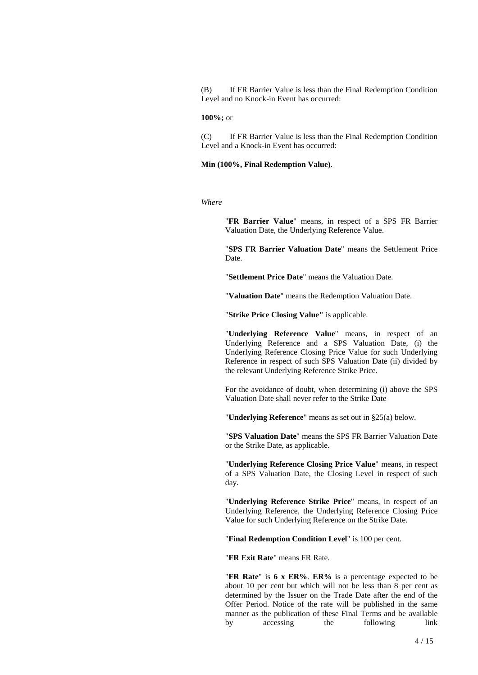(B) If FR Barrier Value is less than the Final Redemption Condition Level and no Knock-in Event has occurred:

# **100%;** or

(C) If FR Barrier Value is less than the Final Redemption Condition Level and a Knock-in Event has occurred:

# **Min (100%, Final Redemption Value)**.

*Where* 

"**FR Barrier Value**" means, in respect of a SPS FR Barrier Valuation Date, the Underlying Reference Value.

"**SPS FR Barrier Valuation Date**" means the Settlement Price Date.

"**Settlement Price Date**" means the Valuation Date.

"**Valuation Date**" means the Redemption Valuation Date.

"**Strike Price Closing Value"** is applicable.

"**Underlying Reference Value**" means, in respect of an Underlying Reference and a SPS Valuation Date, (i) the Underlying Reference Closing Price Value for such Underlying Reference in respect of such SPS Valuation Date (ii) divided by the relevant Underlying Reference Strike Price.

For the avoidance of doubt, when determining (i) above the SPS Valuation Date shall never refer to the Strike Date

"**Underlying Reference**" means as set out in §25(a) below.

"**SPS Valuation Date**" means the SPS FR Barrier Valuation Date or the Strike Date, as applicable.

"**Underlying Reference Closing Price Value**" means, in respect of a SPS Valuation Date, the Closing Level in respect of such day.

"**Underlying Reference Strike Price**" means, in respect of an Underlying Reference, the Underlying Reference Closing Price Value for such Underlying Reference on the Strike Date.

"**Final Redemption Condition Level**" is 100 per cent.

"**FR Exit Rate**" means FR Rate.

"**FR Rate**" is **6 x ER%**. **ER%** is a percentage expected to be about 10 per cent but which will not be less than 8 per cent as determined by the Issuer on the Trade Date after the end of the Offer Period. Notice of the rate will be published in the same manner as the publication of these Final Terms and be available by accessing the following link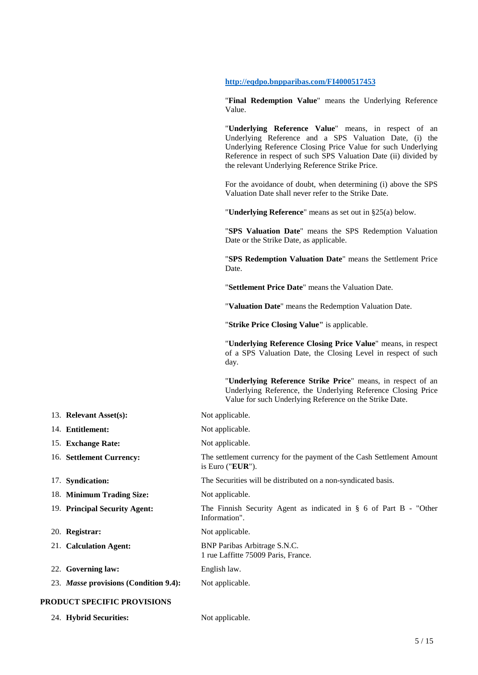# **http://eqdpo.bnpparibas.com/FI4000517453**

"**Final Redemption Value**" means the Underlying Reference Value.

"**Underlying Reference Value**" means, in respect of an Underlying Reference and a SPS Valuation Date, (i) the Underlying Reference Closing Price Value for such Underlying Reference in respect of such SPS Valuation Date (ii) divided by the relevant Underlying Reference Strike Price.

For the avoidance of doubt, when determining (i) above the SPS Valuation Date shall never refer to the Strike Date.

"**Underlying Reference**" means as set out in §25(a) below.

"**SPS Valuation Date**" means the SPS Redemption Valuation Date or the Strike Date, as applicable.

"**SPS Redemption Valuation Date**" means the Settlement Price Date.

"**Settlement Price Date**" means the Valuation Date.

"**Valuation Date**" means the Redemption Valuation Date.

"**Strike Price Closing Value"** is applicable.

is Euro ("**EUR**").

Information".

1 rue Laffitte 75009 Paris, France.

"**Underlying Reference Closing Price Value**" means, in respect of a SPS Valuation Date, the Closing Level in respect of such day.

"**Underlying Reference Strike Price**" means, in respect of an Underlying Reference, the Underlying Reference Closing Price Value for such Underlying Reference on the Strike Date.

- 13. **Relevant Asset(s):** Not applicable.
- 14. **Entitlement:** Not applicable.
- 15. **Exchange Rate:** Not applicable.
- 16. **Settlement Currency:** The settlement currency for the payment of the Cash Settlement Amount
- 17. **Syndication:** The Securities will be distributed on a non-syndicated basis.
- 18. **Minimum Trading Size:** Not applicable.
- 19. **Principal Security Agent:** The Finnish Security Agent as indicated in § 6 of Part B "Other
- 20. **Registrar:** Not applicable.
- 21. **Calculation Agent:** BNP Paribas Arbitrage S.N.C.
- 22. **Governing law:** English law.
- 23. *Masse* provisions (Condition 9.4): Not applicable.

# **PRODUCT SPECIFIC PROVISIONS**

24. **Hybrid Securities:** Not applicable.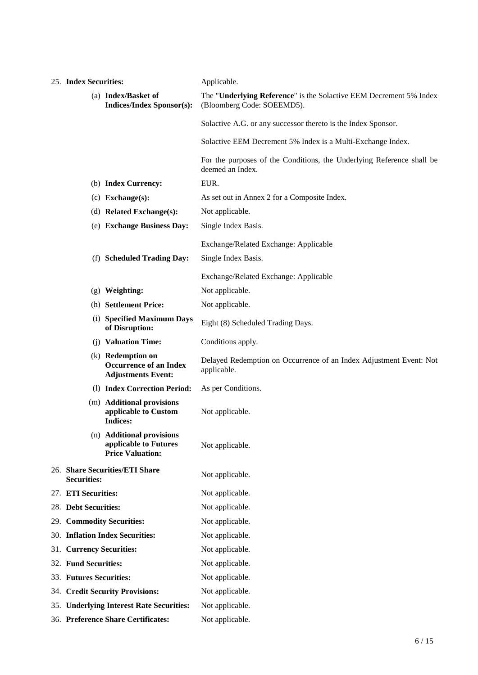| 25. Index Securities:                                                           |                                                                               | Applicable.                                                                                      |  |  |  |
|---------------------------------------------------------------------------------|-------------------------------------------------------------------------------|--------------------------------------------------------------------------------------------------|--|--|--|
| (a) Index/Basket of<br><b>Indices/Index Sponsor(s):</b>                         |                                                                               | The "Underlying Reference" is the Solactive EEM Decrement 5% Index<br>(Bloomberg Code: SOEEMD5). |  |  |  |
|                                                                                 |                                                                               | Solactive A.G. or any successor thereto is the Index Sponsor.                                    |  |  |  |
|                                                                                 |                                                                               | Solactive EEM Decrement 5% Index is a Multi-Exchange Index.                                      |  |  |  |
|                                                                                 |                                                                               | For the purposes of the Conditions, the Underlying Reference shall be<br>deemed an Index.        |  |  |  |
|                                                                                 | (b) Index Currency:                                                           | EUR.                                                                                             |  |  |  |
|                                                                                 | $(c)$ Exchange $(s)$ :                                                        | As set out in Annex 2 for a Composite Index.                                                     |  |  |  |
|                                                                                 | (d) Related Exchange(s):                                                      | Not applicable.                                                                                  |  |  |  |
|                                                                                 | (e) Exchange Business Day:                                                    | Single Index Basis.                                                                              |  |  |  |
|                                                                                 |                                                                               | Exchange/Related Exchange: Applicable                                                            |  |  |  |
|                                                                                 | (f) Scheduled Trading Day:                                                    | Single Index Basis.                                                                              |  |  |  |
|                                                                                 |                                                                               | Exchange/Related Exchange: Applicable                                                            |  |  |  |
|                                                                                 | $(g)$ Weighting:                                                              | Not applicable.                                                                                  |  |  |  |
|                                                                                 | (h) Settlement Price:                                                         | Not applicable.                                                                                  |  |  |  |
| (i) Specified Maximum Days<br>of Disruption:                                    |                                                                               | Eight (8) Scheduled Trading Days.                                                                |  |  |  |
| (j) Valuation Time:                                                             |                                                                               | Conditions apply.                                                                                |  |  |  |
| (k) Redemption on<br><b>Occurrence of an Index</b><br><b>Adjustments Event:</b> |                                                                               | Delayed Redemption on Occurrence of an Index Adjustment Event: Not<br>applicable.                |  |  |  |
|                                                                                 | (1) Index Correction Period:                                                  | As per Conditions.                                                                               |  |  |  |
|                                                                                 | (m) Additional provisions<br>applicable to Custom<br><b>Indices:</b>          | Not applicable.                                                                                  |  |  |  |
|                                                                                 | (n) Additional provisions<br>applicable to Futures<br><b>Price Valuation:</b> | Not applicable.                                                                                  |  |  |  |
| <b>Securities:</b>                                                              | 26. Share Securities/ETI Share                                                | Not applicable.                                                                                  |  |  |  |
| 27. ETI Securities:                                                             |                                                                               | Not applicable.                                                                                  |  |  |  |
| 28. Debt Securities:                                                            |                                                                               | Not applicable.                                                                                  |  |  |  |
| 29. Commodity Securities:                                                       |                                                                               | Not applicable.                                                                                  |  |  |  |
| 30. Inflation Index Securities:                                                 |                                                                               | Not applicable.                                                                                  |  |  |  |
| 31. Currency Securities:                                                        |                                                                               | Not applicable.                                                                                  |  |  |  |
| 32. Fund Securities:                                                            |                                                                               | Not applicable.                                                                                  |  |  |  |
| 33. Futures Securities:                                                         |                                                                               | Not applicable.                                                                                  |  |  |  |
|                                                                                 | 34. Credit Security Provisions:                                               | Not applicable.                                                                                  |  |  |  |
|                                                                                 | 35. Underlying Interest Rate Securities:                                      | Not applicable.                                                                                  |  |  |  |
| 36. Preference Share Certificates:                                              |                                                                               | Not applicable.                                                                                  |  |  |  |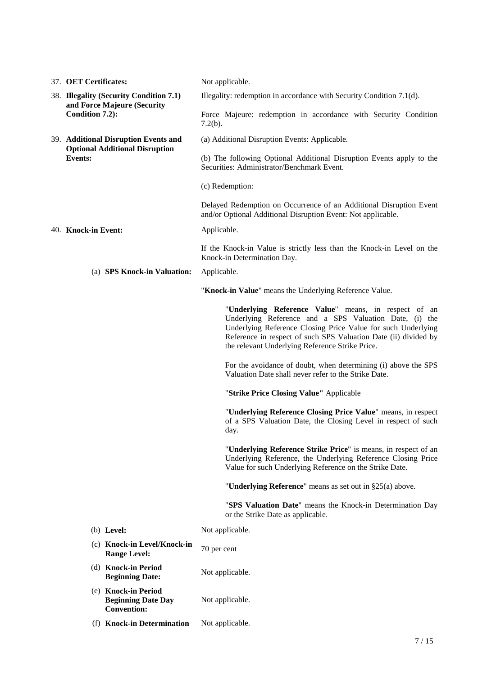|  | 37. OET Certificates:                                                  | Not applicable.                                                                                                                                                                                                                                                                                      |  |  |
|--|------------------------------------------------------------------------|------------------------------------------------------------------------------------------------------------------------------------------------------------------------------------------------------------------------------------------------------------------------------------------------------|--|--|
|  | 38. Illegality (Security Condition 7.1)                                | Illegality: redemption in accordance with Security Condition 7.1(d).                                                                                                                                                                                                                                 |  |  |
|  | and Force Majeure (Security<br>Condition 7.2):                         | Force Majeure: redemption in accordance with Security Condition<br>$7.2(b)$ .                                                                                                                                                                                                                        |  |  |
|  | 39. Additional Disruption Events and                                   | (a) Additional Disruption Events: Applicable.                                                                                                                                                                                                                                                        |  |  |
|  | <b>Optional Additional Disruption</b><br><b>Events:</b>                | (b) The following Optional Additional Disruption Events apply to the<br>Securities: Administrator/Benchmark Event.                                                                                                                                                                                   |  |  |
|  |                                                                        | (c) Redemption:                                                                                                                                                                                                                                                                                      |  |  |
|  |                                                                        | Delayed Redemption on Occurrence of an Additional Disruption Event<br>and/or Optional Additional Disruption Event: Not applicable.                                                                                                                                                                   |  |  |
|  | 40. Knock-in Event:                                                    | Applicable.                                                                                                                                                                                                                                                                                          |  |  |
|  |                                                                        | If the Knock-in Value is strictly less than the Knock-in Level on the<br>Knock-in Determination Day.                                                                                                                                                                                                 |  |  |
|  | (a) SPS Knock-in Valuation:                                            | Applicable.                                                                                                                                                                                                                                                                                          |  |  |
|  |                                                                        | "Knock-in Value" means the Underlying Reference Value.                                                                                                                                                                                                                                               |  |  |
|  |                                                                        | "Underlying Reference Value" means, in respect of an<br>Underlying Reference and a SPS Valuation Date, (i) the<br>Underlying Reference Closing Price Value for such Underlying<br>Reference in respect of such SPS Valuation Date (ii) divided by<br>the relevant Underlying Reference Strike Price. |  |  |
|  |                                                                        | For the avoidance of doubt, when determining (i) above the SPS<br>Valuation Date shall never refer to the Strike Date.                                                                                                                                                                               |  |  |
|  |                                                                        | "Strike Price Closing Value" Applicable                                                                                                                                                                                                                                                              |  |  |
|  |                                                                        | "Underlying Reference Closing Price Value" means, in respect<br>of a SPS Valuation Date, the Closing Level in respect of such<br>day.                                                                                                                                                                |  |  |
|  |                                                                        | "Underlying Reference Strike Price" is means, in respect of an<br>Underlying Reference, the Underlying Reference Closing Price<br>Value for such Underlying Reference on the Strike Date.                                                                                                            |  |  |
|  |                                                                        | "Underlying Reference" means as set out in §25(a) above.                                                                                                                                                                                                                                             |  |  |
|  |                                                                        | "SPS Valuation Date" means the Knock-in Determination Day<br>or the Strike Date as applicable.                                                                                                                                                                                                       |  |  |
|  | $(b)$ Level:                                                           | Not applicable.                                                                                                                                                                                                                                                                                      |  |  |
|  | (c) Knock-in Level/Knock-in<br><b>Range Level:</b>                     | 70 per cent                                                                                                                                                                                                                                                                                          |  |  |
|  | (d) Knock-in Period<br><b>Beginning Date:</b>                          | Not applicable.                                                                                                                                                                                                                                                                                      |  |  |
|  | (e) Knock-in Period<br><b>Beginning Date Day</b><br><b>Convention:</b> | Not applicable.                                                                                                                                                                                                                                                                                      |  |  |
|  | (f) Knock-in Determination                                             | Not applicable.                                                                                                                                                                                                                                                                                      |  |  |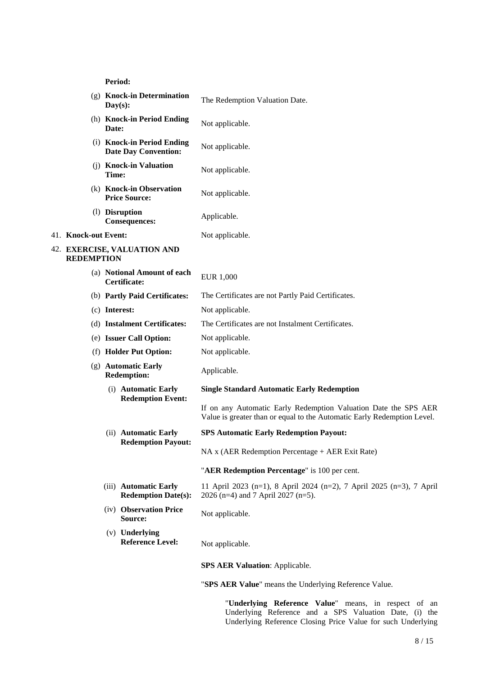**Period:**

|                      | $Day(s)$ :                   | (g) Knock-in Determination                                | The Redemption Valuation Date.                                                                                                             |  |  |
|----------------------|------------------------------|-----------------------------------------------------------|--------------------------------------------------------------------------------------------------------------------------------------------|--|--|
|                      | Date:                        | (h) Knock-in Period Ending                                | Not applicable.                                                                                                                            |  |  |
|                      |                              | (i) Knock-in Period Ending<br><b>Date Day Convention:</b> | Not applicable.                                                                                                                            |  |  |
|                      | Time:                        | (j) Knock-in Valuation                                    | Not applicable.                                                                                                                            |  |  |
|                      |                              | (k) Knock-in Observation<br><b>Price Source:</b>          | Not applicable.                                                                                                                            |  |  |
|                      |                              | (1) Disruption<br><b>Consequences:</b>                    | Applicable.                                                                                                                                |  |  |
| 41. Knock-out Event: |                              |                                                           | Not applicable.                                                                                                                            |  |  |
| <b>REDEMPTION</b>    |                              | 42. EXERCISE, VALUATION AND                               |                                                                                                                                            |  |  |
|                      |                              | (a) Notional Amount of each<br>Certificate:               | EUR 1,000                                                                                                                                  |  |  |
|                      |                              | (b) Partly Paid Certificates:                             | The Certificates are not Partly Paid Certificates.                                                                                         |  |  |
|                      |                              | (c) Interest:                                             | Not applicable.                                                                                                                            |  |  |
|                      | (d) Instalment Certificates: |                                                           | The Certificates are not Instalment Certificates.                                                                                          |  |  |
|                      | (e) Issuer Call Option:      |                                                           | Not applicable.                                                                                                                            |  |  |
|                      | (f) Holder Put Option:       |                                                           | Not applicable.                                                                                                                            |  |  |
|                      |                              | (g) Automatic Early<br><b>Redemption:</b>                 | Applicable.                                                                                                                                |  |  |
|                      |                              | (i) Automatic Early                                       | <b>Single Standard Automatic Early Redemption</b>                                                                                          |  |  |
|                      |                              | <b>Redemption Event:</b>                                  | If on any Automatic Early Redemption Valuation Date the SPS AER<br>Value is greater than or equal to the Automatic Early Redemption Level. |  |  |
|                      |                              | (ii) Automatic Early                                      | <b>SPS Automatic Early Redemption Payout:</b>                                                                                              |  |  |
|                      |                              | <b>Redemption Payout:</b>                                 | NA x (AER Redemption Percentage + AER Exit Rate)                                                                                           |  |  |
|                      |                              |                                                           | "AER Redemption Percentage" is 100 per cent.                                                                                               |  |  |
|                      |                              | (iii) Automatic Early<br><b>Redemption Date(s):</b>       | 11 April 2023 (n=1), 8 April 2024 (n=2), 7 April 2025 (n=3), 7 April<br>2026 (n=4) and 7 April 2027 (n=5).                                 |  |  |
|                      |                              | (iv) Observation Price<br>Source:                         | Not applicable.                                                                                                                            |  |  |
|                      |                              | (v) <b>Underlying</b><br><b>Reference Level:</b>          | Not applicable.                                                                                                                            |  |  |
|                      |                              |                                                           | <b>SPS AER Valuation: Applicable.</b>                                                                                                      |  |  |
|                      |                              |                                                           | "SPS AER Value" means the Underlying Reference Value.                                                                                      |  |  |

"**Underlying Reference Value**" means, in respect of an Underlying Reference and a SPS Valuation Date, (i) the Underlying Reference Closing Price Value for such Underlying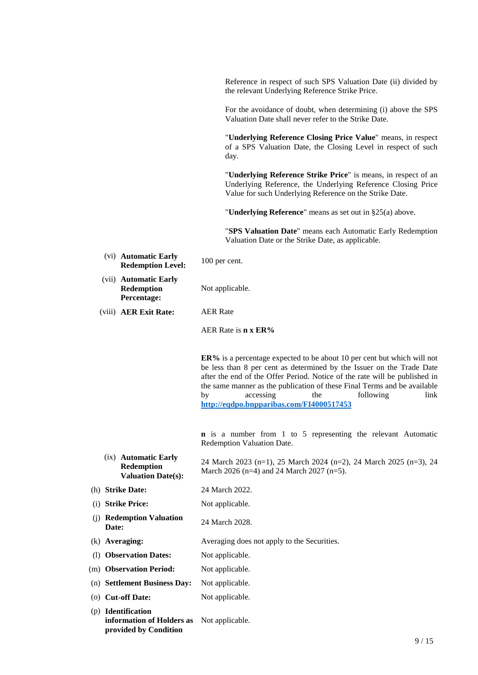Reference in respect of such SPS Valuation Date (ii) divided by the relevant Underlying Reference Strike Price.

For the avoidance of doubt, when determining (i) above the SPS Valuation Date shall never refer to the Strike Date.

"**Underlying Reference Closing Price Value**" means, in respect of a SPS Valuation Date, the Closing Level in respect of such day.

"**Underlying Reference Strike Price**" is means, in respect of an Underlying Reference, the Underlying Reference Closing Price Value for such Underlying Reference on the Strike Date.

"**Underlying Reference**" means as set out in §25(a) above.

"**SPS Valuation Date**" means each Automatic Early Redemption Valuation Date or the Strike Date, as applicable.

- (vi) **Automatic Early Redemption Level:** 100 per cent.
- (vii) **Automatic Early Redemption Percentage:**

Not applicable.

(viii) **AER Exit Rate:** AER Rate

AER Rate is **n x ER%**

**ER%** is a percentage expected to be about 10 per cent but which will not be less than 8 per cent as determined by the Issuer on the Trade Date after the end of the Offer Period. Notice of the rate will be published in the same manner as the publication of these Final Terms and be available by accessing the following link **http://eqdpo.bnpparibas.com/FI4000517453** 

**n** is a number from 1 to 5 representing the relevant Automatic Redemption Valuation Date.

- (ix) **Automatic Early Redemption Valuation Date(s):** 24 March 2023 (n=1), 25 March 2024 (n=2), 24 March 2025 (n=3), 24 March 2026 (n=4) and 24 March 2027 (n=5).
- (h) **Strike Date:** 24 March 2022.
- (i) **Strike Price:** Not applicable.
- (j) **Redemption Valuation Date: Date: Date: Date: Date: Date: Date: Date: Date: Date: Date: Date: Date: Date: Date: Date: Date: D**
- (k) **Averaging:** Averaging does not apply to the Securities.
- (l) **Observation Dates:** Not applicable.
- (m) **Observation Period:** Not applicable.
- (n) **Settlement Business Day:** Not applicable.
- (o) **Cut-off Date:** Not applicable.
- (p) **Identification information of Holders as**  Not applicable. **provided by Condition**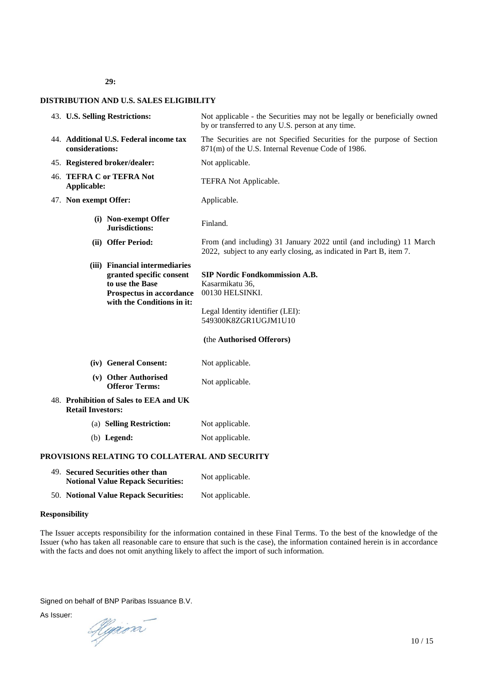**29:**

# **DISTRIBUTION AND U.S. SALES ELIGIBILITY**

| 43. U.S. Selling Restrictions:                            |                                                                                                                                         | Not applicable - the Securities may not be legally or beneficially owned<br>by or transferred to any U.S. person at any time.                                        |  |  |  |
|-----------------------------------------------------------|-----------------------------------------------------------------------------------------------------------------------------------------|----------------------------------------------------------------------------------------------------------------------------------------------------------------------|--|--|--|
| 44. Additional U.S. Federal income tax<br>considerations: |                                                                                                                                         | The Securities are not Specified Securities for the purpose of Section<br>871(m) of the U.S. Internal Revenue Code of 1986.                                          |  |  |  |
|                                                           | 45. Registered broker/dealer:                                                                                                           | Not applicable.                                                                                                                                                      |  |  |  |
| 46. TEFRA C or TEFRA Not<br>Applicable:                   |                                                                                                                                         | TEFRA Not Applicable.                                                                                                                                                |  |  |  |
| 47. Non exempt Offer:                                     |                                                                                                                                         | Applicable.                                                                                                                                                          |  |  |  |
|                                                           | (i) Non-exempt Offer<br>Jurisdictions:                                                                                                  | Finland.                                                                                                                                                             |  |  |  |
|                                                           | (ii) Offer Period:                                                                                                                      | From (and including) 31 January 2022 until (and including) 11 March<br>2022, subject to any early closing, as indicated in Part B, item 7.                           |  |  |  |
|                                                           | (iii) Financial intermediaries<br>granted specific consent<br>to use the Base<br>Prospectus in accordance<br>with the Conditions in it: | <b>SIP Nordic Fondkommission A.B.</b><br>Kasarmikatu 36,<br>00130 HELSINKI.<br>Legal Identity identifier (LEI):<br>549300K8ZGR1UGJM1U10<br>(the Authorised Offerors) |  |  |  |
|                                                           | (iv) General Consent:                                                                                                                   | Not applicable.                                                                                                                                                      |  |  |  |
|                                                           | (v) Other Authorised<br><b>Offeror Terms:</b>                                                                                           | Not applicable.                                                                                                                                                      |  |  |  |
| <b>Retail Investors:</b>                                  | 48. Prohibition of Sales to EEA and UK                                                                                                  |                                                                                                                                                                      |  |  |  |
|                                                           | (a) Selling Restriction:                                                                                                                | Not applicable.                                                                                                                                                      |  |  |  |
|                                                           | $(b)$ Legend:                                                                                                                           | Not applicable.                                                                                                                                                      |  |  |  |
|                                                           | PROVISIONS RELATING TO COLLATERAL AND SECURITY                                                                                          |                                                                                                                                                                      |  |  |  |
|                                                           | 49. Secured Securities other than                                                                                                       | $N_{\rm tot}$ = $1.1$ = $1.1$ =                                                                                                                                      |  |  |  |

**Notional Value Repack Securities:** Not applicable. 50. **Notional Value Repack Securities:** Not applicable.

# **Responsibility**

The Issuer accepts responsibility for the information contained in these Final Terms. To the best of the knowledge of the Issuer (who has taken all reasonable care to ensure that such is the case), the information contained herein is in accordance with the facts and does not omit anything likely to affect the import of such information.

Signed on behalf of BNP Paribas Issuance B.V.

As Issuer:

Hyrion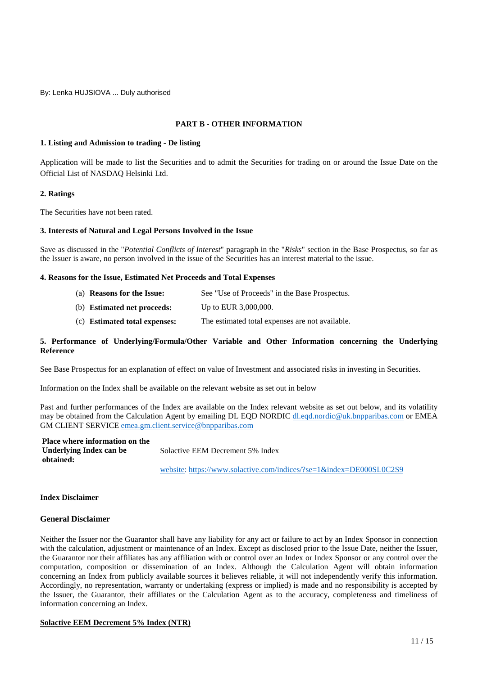By: Lenka HUJSIOVA ... Duly authorised

# **PART B - OTHER INFORMATION**

# **1. Listing and Admission to trading - De listing**

Application will be made to list the Securities and to admit the Securities for trading on or around the Issue Date on the Official List of NASDAQ Helsinki Ltd.

# **2. Ratings**

The Securities have not been rated.

# **3. Interests of Natural and Legal Persons Involved in the Issue**

Save as discussed in the "*Potential Conflicts of Interest*" paragraph in the "*Risks*" section in the Base Prospectus, so far as the Issuer is aware, no person involved in the issue of the Securities has an interest material to the issue.

# **4. Reasons for the Issue, Estimated Net Proceeds and Total Expenses**

- (a) **Reasons for the Issue:** See "Use of Proceeds" in the Base Prospectus.
- (b) **Estimated net proceeds:** Up to EUR 3,000,000.
- (c) **Estimated total expenses:** The estimated total expenses are not available.

# **5. Performance of Underlying/Formula/Other Variable and Other Information concerning the Underlying Reference**

See Base Prospectus for an explanation of effect on value of Investment and associated risks in investing in Securities.

Information on the Index shall be available on the relevant website as set out in below

Past and further performances of the Index are available on the Index relevant website as set out below, and its volatility may be obtained from the Calculation Agent by emailing DL EQD NORDIC dl.eqd.nordic@uk.bnpparibas.com or EMEA GM CLIENT SERVICE emea.gm.client.service@bnpparibas.com

| <b>Place where information on the</b> |                                  |  |
|---------------------------------------|----------------------------------|--|
| Underlying Index can be               | Solactive EEM Decrement 5% Index |  |
| obtained:                             |                                  |  |
|                                       |                                  |  |

website: https://www.solactive.com/indices/?se=1&index=DE000SL0C2S9

# **Index Disclaimer**

# **General Disclaimer**

Neither the Issuer nor the Guarantor shall have any liability for any act or failure to act by an Index Sponsor in connection with the calculation, adjustment or maintenance of an Index. Except as disclosed prior to the Issue Date, neither the Issuer, the Guarantor nor their affiliates has any affiliation with or control over an Index or Index Sponsor or any control over the computation, composition or dissemination of an Index. Although the Calculation Agent will obtain information concerning an Index from publicly available sources it believes reliable, it will not independently verify this information. Accordingly, no representation, warranty or undertaking (express or implied) is made and no responsibility is accepted by the Issuer, the Guarantor, their affiliates or the Calculation Agent as to the accuracy, completeness and timeliness of information concerning an Index.

# **Solactive EEM Decrement 5% Index (NTR)**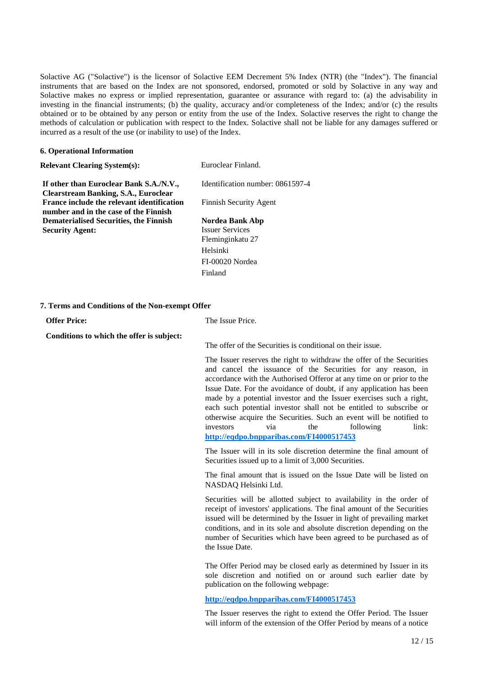Solactive AG ("Solactive") is the licensor of Solactive EEM Decrement 5% Index (NTR) (the "Index"). The financial instruments that are based on the Index are not sponsored, endorsed, promoted or sold by Solactive in any way and Solactive makes no express or implied representation, guarantee or assurance with regard to: (a) the advisability in investing in the financial instruments; (b) the quality, accuracy and/or completeness of the Index; and/or (c) the results obtained or to be obtained by any person or entity from the use of the Index. Solactive reserves the right to change the methods of calculation or publication with respect to the Index. Solactive shall not be liable for any damages suffered or incurred as a result of the use (or inability to use) of the Index.

# **6. Operational Information**

| Euroclear Finland.               |
|----------------------------------|
| Identification number: 0861597-4 |
|                                  |
| Finnish Security Agent           |
|                                  |
| Nordea Bank Abp                  |
| <b>Issuer Services</b>           |
| Fleminginkatu 27                 |
| Helsinki                         |
| FI-00020 Nordea                  |
| Finland                          |
|                                  |

# **7. Terms and Conditions of the Non-exempt Offer**

| <b>Offer Price:</b>                       | The Issue Price.                                                                                                                                                                                                                                                                                                                                                                                                                                                                                                                                                                                       |  |  |  |
|-------------------------------------------|--------------------------------------------------------------------------------------------------------------------------------------------------------------------------------------------------------------------------------------------------------------------------------------------------------------------------------------------------------------------------------------------------------------------------------------------------------------------------------------------------------------------------------------------------------------------------------------------------------|--|--|--|
| Conditions to which the offer is subject: | The offer of the Securities is conditional on their issue.                                                                                                                                                                                                                                                                                                                                                                                                                                                                                                                                             |  |  |  |
|                                           | The Issuer reserves the right to withdraw the offer of the Securities<br>and cancel the issuance of the Securities for any reason, in<br>accordance with the Authorised Offeror at any time on or prior to the<br>Issue Date. For the avoidance of doubt, if any application has been<br>made by a potential investor and the Issuer exercises such a right,<br>each such potential investor shall not be entitled to subscribe or<br>otherwise acquire the Securities. Such an event will be notified to<br>the<br>following<br>via<br>link:<br>investors<br>http://eqdpo.bnpparibas.com/FI4000517453 |  |  |  |
|                                           | The Issuer will in its sole discretion determine the final amount of<br>Securities issued up to a limit of 3,000 Securities.<br>The final amount that is issued on the Issue Date will be listed on<br>NASDAQ Helsinki Ltd.                                                                                                                                                                                                                                                                                                                                                                            |  |  |  |
|                                           |                                                                                                                                                                                                                                                                                                                                                                                                                                                                                                                                                                                                        |  |  |  |
|                                           | Securities will be allotted subject to availability in the order of<br>receipt of investors' applications. The final amount of the Securities<br>issued will be determined by the Issuer in light of prevailing market<br>conditions, and in its sole and absolute discretion depending on the<br>number of Securities which have been agreed to be purchased as of<br>the Issue Date.                                                                                                                                                                                                                 |  |  |  |
|                                           | The Offer Period may be closed early as determined by Issuer in its<br>sole discretion and notified on or around such earlier date by<br>publication on the following webpage:                                                                                                                                                                                                                                                                                                                                                                                                                         |  |  |  |
|                                           | http://eqdpo.bnpparibas.com/FI4000517453                                                                                                                                                                                                                                                                                                                                                                                                                                                                                                                                                               |  |  |  |
|                                           | The Issuer reserves the right to extend the Offer Period. The Issuer                                                                                                                                                                                                                                                                                                                                                                                                                                                                                                                                   |  |  |  |

will inform of the extension of the Offer Period by means of a notice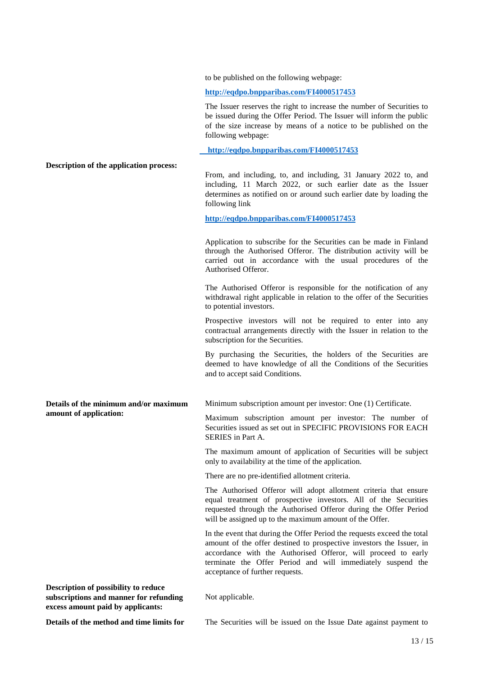to be published on the following webpage:

**http://eqdpo.bnpparibas.com/FI4000517453** 

The Issuer reserves the right to increase the number of Securities to be issued during the Offer Period. The Issuer will inform the public of the size increase by means of a notice to be published on the following webpage:

 **http://eqdpo.bnpparibas.com/FI4000517453**

**Description of the application process:**

From, and including, to, and including, 31 January 2022 to, and including, 11 March 2022, or such earlier date as the Issuer determines as notified on or around such earlier date by loading the following link

**http://eqdpo.bnpparibas.com/FI4000517453** 

Application to subscribe for the Securities can be made in Finland through the Authorised Offeror. The distribution activity will be carried out in accordance with the usual procedures of the Authorised Offeror.

The Authorised Offeror is responsible for the notification of any withdrawal right applicable in relation to the offer of the Securities to potential investors.

Prospective investors will not be required to enter into any contractual arrangements directly with the Issuer in relation to the subscription for the Securities.

By purchasing the Securities, the holders of the Securities are deemed to have knowledge of all the Conditions of the Securities and to accept said Conditions.

**Details of the minimum and/or maximum amount of application:**

Minimum subscription amount per investor: One (1) Certificate.

Maximum subscription amount per investor: The number of Securities issued as set out in SPECIFIC PROVISIONS FOR EACH SERIES in Part A.

The maximum amount of application of Securities will be subject only to availability at the time of the application.

There are no pre-identified allotment criteria.

The Authorised Offeror will adopt allotment criteria that ensure equal treatment of prospective investors. All of the Securities requested through the Authorised Offeror during the Offer Period will be assigned up to the maximum amount of the Offer.

In the event that during the Offer Period the requests exceed the total amount of the offer destined to prospective investors the Issuer, in accordance with the Authorised Offeror, will proceed to early terminate the Offer Period and will immediately suspend the acceptance of further requests.

**Description of possibility to reduce subscriptions and manner for refunding excess amount paid by applicants:** 

Not applicable.

**Details of the method and time limits for** The Securities will be issued on the Issue Date against payment to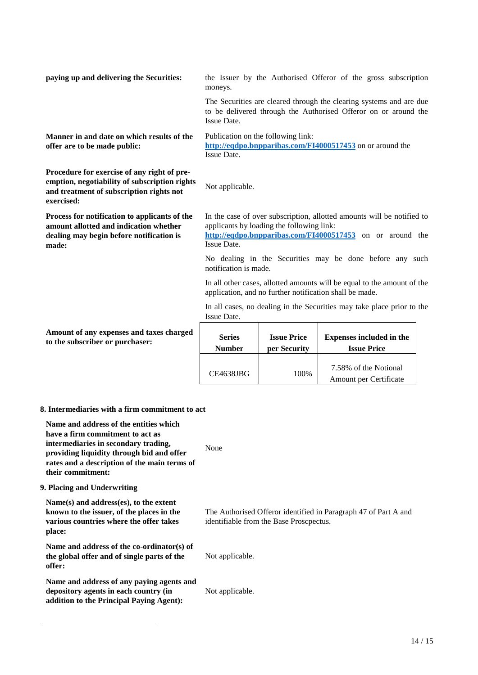| paying up and delivering the Securities:                                                                                                                                                                                             | the Issuer by the Authorised Offeror of the gross subscription<br>moneys.                                                                                                                       |                                                                                                                                    |                                                                                                                                        |  |  |
|--------------------------------------------------------------------------------------------------------------------------------------------------------------------------------------------------------------------------------------|-------------------------------------------------------------------------------------------------------------------------------------------------------------------------------------------------|------------------------------------------------------------------------------------------------------------------------------------|----------------------------------------------------------------------------------------------------------------------------------------|--|--|
|                                                                                                                                                                                                                                      | Issue Date.                                                                                                                                                                                     |                                                                                                                                    | The Securities are cleared through the clearing systems and are due<br>to be delivered through the Authorised Offeror on or around the |  |  |
| Manner in and date on which results of the<br>offer are to be made public:                                                                                                                                                           | Issue Date.                                                                                                                                                                                     | Publication on the following link:                                                                                                 | http://eqdpo.bnpparibas.com/FI4000517453 on or around the                                                                              |  |  |
| Procedure for exercise of any right of pre-<br>emption, negotiability of subscription rights<br>and treatment of subscription rights not<br>exercised:                                                                               | Not applicable.                                                                                                                                                                                 |                                                                                                                                    |                                                                                                                                        |  |  |
| Process for notification to applicants of the<br>amount allotted and indication whether<br>dealing may begin before notification is<br>made:                                                                                         | In the case of over subscription, allotted amounts will be notified to<br>applicants by loading the following link:<br>http://eqdpo.bnpparibas.com/FI4000517453 on or around the<br>Issue Date. |                                                                                                                                    |                                                                                                                                        |  |  |
|                                                                                                                                                                                                                                      | notification is made.                                                                                                                                                                           |                                                                                                                                    | No dealing in the Securities may be done before any such                                                                               |  |  |
|                                                                                                                                                                                                                                      |                                                                                                                                                                                                 | In all other cases, allotted amounts will be equal to the amount of the<br>application, and no further notification shall be made. |                                                                                                                                        |  |  |
|                                                                                                                                                                                                                                      | Issue Date.                                                                                                                                                                                     |                                                                                                                                    | In all cases, no dealing in the Securities may take place prior to the                                                                 |  |  |
| Amount of any expenses and taxes charged<br>to the subscriber or purchaser:                                                                                                                                                          | <b>Series</b><br><b>Number</b>                                                                                                                                                                  | <b>Issue Price</b><br>per Security                                                                                                 | <b>Expenses included in the</b><br><b>Issue Price</b>                                                                                  |  |  |
|                                                                                                                                                                                                                                      | CE4638JBG                                                                                                                                                                                       | 100%                                                                                                                               | 7.58% of the Notional<br>Amount per Certificate                                                                                        |  |  |
| 8. Intermediaries with a firm commitment to act                                                                                                                                                                                      |                                                                                                                                                                                                 |                                                                                                                                    |                                                                                                                                        |  |  |
| Name and address of the entities which<br>have a firm commitment to act as<br>intermediaries in secondary trading,<br>providing liquidity through bid and offer<br>rates and a description of the main terms of<br>their commitment: | None                                                                                                                                                                                            |                                                                                                                                    |                                                                                                                                        |  |  |
| 9. Placing and Underwriting                                                                                                                                                                                                          |                                                                                                                                                                                                 |                                                                                                                                    |                                                                                                                                        |  |  |
| Name(s) and address(es), to the extent<br>known to the issuer, of the places in the<br>various countries where the offer takes<br>place:                                                                                             | The Authorised Offeror identified in Paragraph 47 of Part A and<br>identifiable from the Base Proscpectus.                                                                                      |                                                                                                                                    |                                                                                                                                        |  |  |
| Name and address of the co-ordinator(s) of<br>the global offer and of single parts of the                                                                                                                                            | Not applicable.                                                                                                                                                                                 |                                                                                                                                    |                                                                                                                                        |  |  |

**Name and address of any paying agents and depository agents in each country (in addition to the Principal Paying Agent):** 

**offer:** 

Not applicable.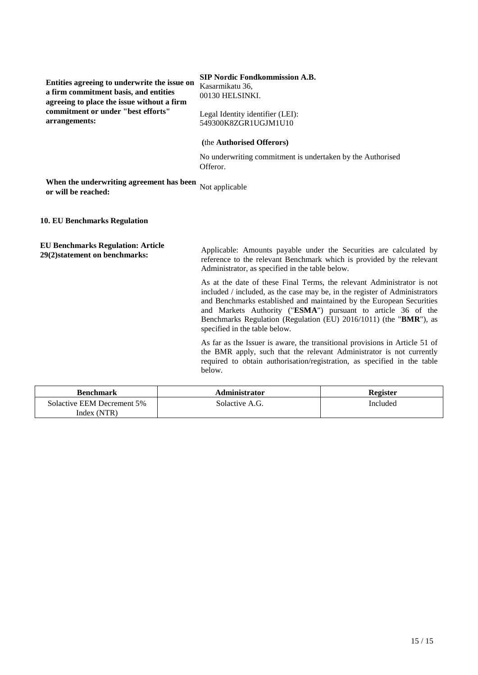**Entities agreeing to underwrite the issue on a firm commitment basis, and entities agreeing to place the issue without a firm commitment or under "best efforts" arrangements:** 

# **SIP Nordic Fondkommission A.B.**

Kasarmikatu 36, 00130 HELSINKI.

Legal Identity identifier (LEI): 549300K8ZGR1UGJM1U10

# **(**the **Authorised Offerors)**

No underwriting commitment is undertaken by the Authorised Offeror.

**When the underwriting agreement has been** Not applicable or will be reached:

**10. EU Benchmarks Regulation**

**EU Benchmarks Regulation: Article** 

**29(2)statement on benchmarks:** Applicable: Amounts payable under the Securities are calculated by reference to the relevant Benchmark which is provided by the relevant Administrator, as specified in the table below.

> As at the date of these Final Terms, the relevant Administrator is not included / included, as the case may be, in the register of Administrators and Benchmarks established and maintained by the European Securities and Markets Authority ("**ESMA**") pursuant to article 36 of the Benchmarks Regulation (Regulation (EU) 2016/1011) (the "**BMR**"), as specified in the table below.

> As far as the Issuer is aware, the transitional provisions in Article 51 of the BMR apply, such that the relevant Administrator is not currently required to obtain authorisation/registration, as specified in the table below.

| <b>Benchmark</b>           | <b>Administrator</b> | Register |
|----------------------------|----------------------|----------|
| Solactive EEM Decrement 5% | Solactive A.G.       | Included |
| Index (NTR)                |                      |          |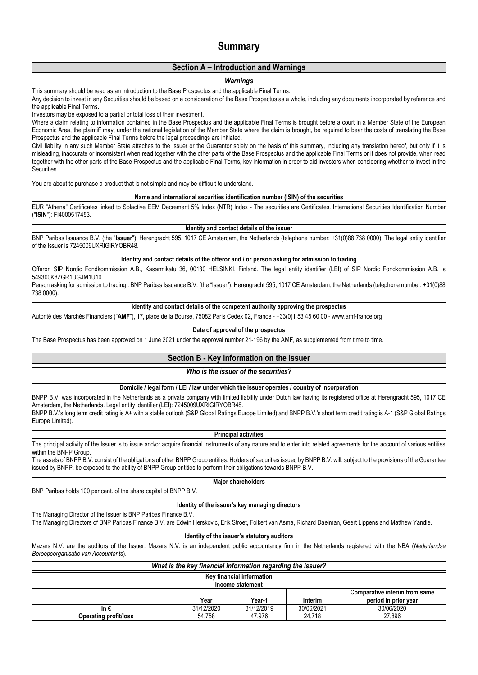# **Summary**

# **Section A – Introduction and Warnings**

# *Warnings*

This summary should be read as an introduction to the Base Prospectus and the applicable Final Terms.

Any decision to invest in any Securities should be based on a consideration of the Base Prospectus as a whole, including any documents incorporated by reference and the applicable Final Terms.

Investors may be exposed to a partial or total loss of their investment.

Where a claim relating to information contained in the Base Prospectus and the applicable Final Terms is brought before a court in a Member State of the European Economic Area, the plaintiff may, under the national legislation of the Member State where the claim is brought, be required to bear the costs of translating the Base Prospectus and the applicable Final Terms before the legal proceedings are initiated.

Civil liability in any such Member State attaches to the Issuer or the Guarantor solely on the basis of this summary, including any translation hereof, but only if it is misleading, inaccurate or inconsistent when read together with the other parts of the Base Prospectus and the applicable Final Terms or it does not provide, when read together with the other parts of the Base Prospectus and the applicable Final Terms, key information in order to aid investors when considering whether to invest in the Securities.

You are about to purchase a product that is not simple and may be difficult to understand.

**Name and international securities identification number (ISIN) of the securities**

EUR "Athena" Certificates linked to Solactive EEM Decrement 5% Index (NTR) Index - The securities are Certificates. International Securities Identification Number ("**ISIN**"): FI4000517453.

#### **Identity and contact details of the issuer**

BNP Paribas Issuance B.V. (the "**Issuer**"), Herengracht 595, 1017 CE Amsterdam, the Netherlands (telephone number: +31(0)88 738 0000). The legal entity identifier of the Issuer is 7245009UXRIGIRYOBR48.

# **Identity and contact details of the offeror and / or person asking for admission to trading**

Offeror: SIP Nordic Fondkommission A.B., Kasarmikatu 36, 00130 HELSINKI, Finland. The legal entity identifier (LEI) of SIP Nordic Fondkommission A.B. is 549300K8ZGR1UGJM1U10

Person asking for admission to trading : BNP Paribas Issuance B.V. (the "Issuer"), Herengracht 595, 1017 CE Amsterdam, the Netherlands (telephone number: +31(0)88 738 0000).

# **Identity and contact details of the competent authority approving the prospectus**

Autorité des Marchés Financiers ("**AMF**"), 17, place de la Bourse, 75082 Paris Cedex 02, France - +33(0)1 53 45 60 00 - www.amf-france.org

## **Date of approval of the prospectus**

The Base Prospectus has been approved on 1 June 2021 under the approval number 21-196 by the AMF, as supplemented from time to time.

# **Section B - Key information on the issuer**

# *Who is the issuer of the securities?*

**Domicile / legal form / LEI / law under which the issuer operates / country of incorporation**

BNPP B.V. was incorporated in the Netherlands as a private company with limited liability under Dutch law having its registered office at Herengracht 595, 1017 CE Amsterdam, the Netherlands. Legal entity identifier (LEI): 7245009UXRIGIRYOBR48. BNPP B.V.'s long term credit rating is A+ with a stable outlook (S&P Global Ratings Europe Limited) and BNPP B.V.'s short term credit rating is A-1 (S&P Global Ratings

Europe Limited).

#### **Principal activities**

The principal activity of the Issuer is to issue and/or acquire financial instruments of any nature and to enter into related agreements for the account of various entities within the BNPP Group.

The assets of BNPP B.V. consist of the obligations of other BNPP Group entities. Holders of securities issued by BNPP B.V. will, subject to the provisions of the Guarantee issued by BNPP, be exposed to the ability of BNPP Group entities to perform their obligations towards BNPP B.V.

#### **Major shareholders**

BNP Paribas holds 100 per cent. of the share capital of BNPP B.V.

# **Identity of the issuer's key managing directors**

The Managing Director of the Issuer is BNP Paribas Finance B.V.

The Managing Directors of BNP Paribas Finance B.V. are Edwin Herskovic, Erik Stroet, Folkert van Asma, Richard Daelman, Geert Lippens and Matthew Yandle.

#### **Identity of the issuer's statutory auditors**

Mazars N.V. are the auditors of the Issuer. Mazars N.V. is an independent public accountancy firm in the Netherlands registered with the NBA (*Nederlandse Beroepsorganisatie van Accountants*).

| What is the key financial information regarding the issuer? |                  |            |            |            |  |
|-------------------------------------------------------------|------------------|------------|------------|------------|--|
| Key financial information                                   |                  |            |            |            |  |
|                                                             | Income statement |            |            |            |  |
| Comparative interim from same                               |                  |            |            |            |  |
| period in prior year<br>Interim<br>Year<br>Year-1           |                  |            |            |            |  |
| In €                                                        | 31/12/2020       | 31/12/2019 | 30/06/2021 | 30/06/2020 |  |
| <b>Operating profit/loss</b>                                | 54.758           | 47.976     | 24.718     | 27.896     |  |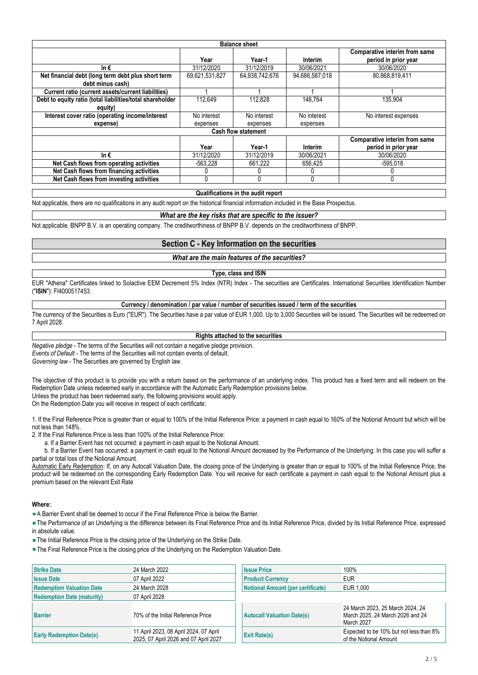| <b>Balance sheet</b>                                      |                |                |                |                                                       |  |  |
|-----------------------------------------------------------|----------------|----------------|----------------|-------------------------------------------------------|--|--|
|                                                           | Year           | Year-1         | Interim        | Comparative interim from same<br>period in prior year |  |  |
| In $\epsilon$                                             | 31/12/2020     | 31/12/2019     | 30/06/2021     | 30/06/2020                                            |  |  |
| Net financial debt (long term debt plus short term        | 69,621,531,827 | 64,938,742,676 | 94,686,587,018 | 80,868,819,411                                        |  |  |
| debt minus cash)                                          |                |                |                |                                                       |  |  |
| Current ratio (current assets/current liabilities)        |                |                |                |                                                       |  |  |
| Debt to equity ratio (total liabilities/total shareholder | 112.649        | 112.828        | 148.764        | 135.904                                               |  |  |
| equity)                                                   |                |                |                |                                                       |  |  |
| Interest cover ratio (operating income/interest           | No interest    | No interest    | No interest    | No interest expenses                                  |  |  |
| expense)                                                  | expenses       | expenses       | expenses       |                                                       |  |  |
| <b>Cash flow statement</b>                                |                |                |                |                                                       |  |  |
|                                                           |                |                |                | Comparative interim from same                         |  |  |
|                                                           | Year           | Year-1         | Interim        | period in prior year                                  |  |  |
| In $\epsilon$                                             | 31/12/2020     | 31/12/2019     | 30/06/2021     | 30/06/2020                                            |  |  |
| Net Cash flows from operating activities                  | -563.228       | 661.222        | 656,425        | -595.018                                              |  |  |
| Net Cash flows from financing activities                  |                |                |                |                                                       |  |  |
| Net Cash flows from investing activities                  | 0              |                | 0              |                                                       |  |  |

#### **Qualifications in the audit report**

Not applicable, there are no qualifications in any audit report on the historical financial information included in the Base Prospectus.

#### *What are the key risks that are specific to the issuer?*

Not applicable. BNPP B.V. is an operating company. The creditworthiness of BNPP B.V. depends on the creditworthiness of BNPP.

# **Section C - Key Information on the securities**

# *What are the main features of the securities?*

# **Type, class and ISIN**

EUR "Athena" Certificates linked to Solactive EEM Decrement 5% Index (NTR) Index - The securities are Certificates. International Securities Identification Number ("**ISIN**"): FI4000517453.

## **Currency / denomination / par value / number of securities issued / term of the securities**

The currency of the Securities is Euro ("EUR"). The Securities have a par value of EUR 1,000. Up to 3,000 Securities will be issued. The Securities will be redeemed on 7 April 2028.

#### **Rights attached to the securities**

*Negative pledge* - The terms of the Securities will not contain a negative pledge provision. *Events of Default* - The terms of the Securities will not contain events of default.

*Governing law* - The Securities are governed by English law.

The objective of this product is to provide you with a return based on the performance of an underlying index. This product has a fixed term and will redeem on the Redemption Date unless redeemed early in accordance with the Automatic Early Redemption provisions below. Unless the product has been redeemed early, the following provisions would apply.

On the Redemption Date you will receive in respect of each certificate:

1. If the Final Reference Price is greater than or equal to 100% of the Initial Reference Price: a payment in cash equal to 160% of the Notional Amount but which will be not less than 148%.

2. If the Final Reference Price is less than 100% of the Initial Reference Price:

a. If a Barrier Event has not occurred: a payment in cash equal to the Notional Amount.

 b. If a Barrier Event has occurred: a payment in cash equal to the Notional Amount decreased by the Performance of the Underlying. In this case you will suffer a partial or total loss of the Notional Amount.

Automatic Early Redemption: If, on any Autocall Valuation Date, the closing price of the Underlying is greater than or equal to 100% of the Initial Reference Price, the product will be redeemed on the corresponding Early Redemption Date. You will receive for each certificate a payment in cash equal to the Notional Amount plus a premium based on the relevant Exit Rate

### **Where:**

A Barrier Event shall be deemed to occur if the Final Reference Price is below the Barrier.

The Performance of an Underlying is the difference between its Final Reference Price and its Initial Reference Price, divided by its Initial Reference Price, expressed in absolute value.

**The Initial Reference Price is the closing price of the Underlying on the Strike Date.** 

**The Final Reference Price is the closing price of the Underlying on the Redemption Valuation Date.** 

| <b>Strike Date</b>                | 24 March 2022                                                                   | <b>Issue Price</b>                | 100%                                                                               |
|-----------------------------------|---------------------------------------------------------------------------------|-----------------------------------|------------------------------------------------------------------------------------|
| <b>Issue Date</b>                 | 07 April 2022                                                                   | <b>Product Currency</b>           | <b>EUR</b>                                                                         |
| <b>Redemption Valuation Date</b>  | 24 March 2028                                                                   | Notional Amount (per certificate) | EUR 1.000                                                                          |
| <b>Redemption Date (maturity)</b> | 07 April 2028                                                                   |                                   |                                                                                    |
| <b>Barrier</b>                    | 70% of the Initial Reference Price                                              | <b>Autocall Valuation Date(s)</b> | 24 March 2023, 25 March 2024, 24<br>March 2025, 24 March 2026 and 24<br>March 2027 |
| <b>Early Redemption Date(s)</b>   | 11 April 2023, 08 April 2024, 07 April<br>2025, 07 April 2026 and 07 April 2027 | <b>Exit Rate(s)</b>               | Expected to be 10% but not less than 8%<br>of the Notional Amount                  |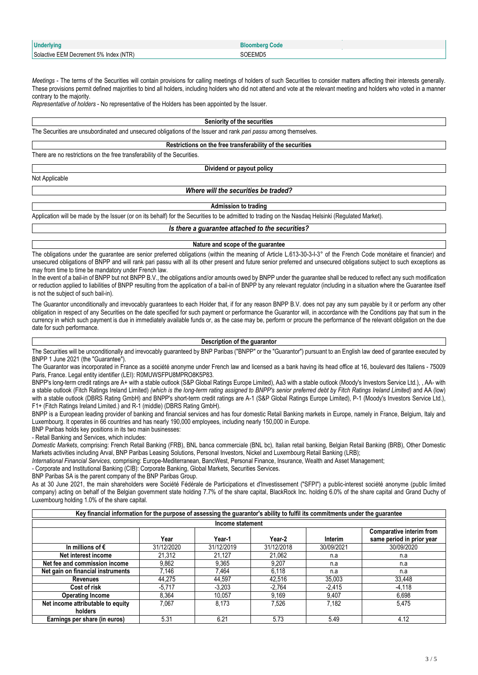| <b>Underlying</b>                      | Bloombera Code |
|----------------------------------------|----------------|
| Solactive EEM Decrement 5% Index (NTR) | SOEEMD5        |

*Meetings* - The terms of the Securities will contain provisions for calling meetings of holders of such Securities to consider matters affecting their interests generally. These provisions permit defined majorities to bind all holders, including holders who did not attend and vote at the relevant meeting and holders who voted in a manner contrary to the majority.

*Representative of holders* - No representative of the Holders has been appointed by the Issuer.

**Seniority of the securities**

The Securities are unsubordinated and unsecured obligations of the Issuer and rank *pari passu* among themselves.

**Restrictions on the free transferability of the securities**

There are no restrictions on the free transferability of the Securities.

Not Applicable

# *Where will the securities be traded?*

**Dividend or payout policy**

**Admission to trading**

Application will be made by the Issuer (or on its behalf) for the Securities to be admitted to trading on the Nasdaq Helsinki (Regulated Market).

*Is there a guarantee attached to the securities?*

#### **Nature and scope of the guarantee**

The obligations under the quarantee are senior preferred obligations (within the meaning of Article L.613-30-3-I-3° of the French Code monétaire et financier) and unsecured obligations of BNPP and will rank pari passu with all its other present and future senior preferred and unsecured obligations subject to such exceptions as may from time to time be mandatory under French law.

In the event of a bail-in of BNPP but not BNPP B.V., the obligations and/or amounts owed by BNPP under the quarantee shall be reduced to reflect any such modification or reduction applied to liabilities of BNPP resulting from the application of a bail-in of BNPP by any relevant regulator (including in a situation where the Guarantee itself is not the subject of such bail-in).

The Guarantor unconditionally and irrevocably guarantees to each Holder that, if for any reason BNPP B.V. does not pay any sum payable by it or perform any other obligation in respect of any Securities on the date specified for such payment or performance the Guarantor will, in accordance with the Conditions pay that sum in the currency in which such payment is due in immediately available funds or, as the case may be, perform or procure the performance of the relevant obligation on the due date for such performance.

#### **Description of the guarantor**

The Securities will be unconditionally and irrevocably quaranteed by BNP Paribas ("BNPP" or the "Guarantor") pursuant to an English law deed of garantee executed by BNPP 1 June 2021 (the "Guarantee").

The Guarantor was incorporated in France as a société anonyme under French law and licensed as a bank having its head office at 16, boulevard des Italiens - 75009 Paris, France. Legal entity identifier (LEI): R0MUWSFPU8MPRO8K5P83.

BNPP's long-term credit ratings are A+ with a stable outlook (S&P Global Ratings Europe Limited), Aa3 with a stable outlook (Moody's Investors Service Ltd.), , AA- with a stable outlook (Fitch Ratings Ireland Limited) *(which is the long-term rating assigned to BNPP's senior preferred debt by Fitch Ratings Ireland Limited)* and AA (low) with a stable outlook (DBRS Rating GmbH) and BNPP's short-term credit ratings are A-1 (S&P Global Ratings Europe Limited), P-1 (Moody's Investors Service Ltd.), F1+ (Fitch Ratings Ireland Limited.) and R-1 (middle) (DBRS Rating GmbH).

BNPP is a European leading provider of banking and financial services and has four domestic Retail Banking markets in Europe, namely in France, Belgium, Italy and Luxembourg. It operates in 66 countries and has nearly 190,000 employees, including nearly 150,000 in Europe.

BNP Paribas holds key positions in its two main businesses:

- Retail Banking and Services, which includes:

*Domestic Markets*, comprising: French Retail Banking (FRB), BNL banca commerciale (BNL bc), Italian retail banking, Belgian Retail Banking (BRB), Other Domestic Markets activities including Arval, BNP Paribas Leasing Solutions, Personal Investors, Nickel and Luxembourg Retail Banking (LRB);

*International Financial Services*, comprising: Europe-Mediterranean, BancWest, Personal Finance, Insurance, Wealth and Asset Management;

- Corporate and Institutional Banking (CIB): Corporate Banking, Global Markets, Securities Services.

BNP Paribas SA is the parent company of the BNP Paribas Group.

As at 30 June 2021, the main shareholders were Société Fédérale de Participations et d'Investissement ("SFPI") a public-interest société anonyme (public limited company) acting on behalf of the Belgian government state holding 7.7% of the share capital, BlackRock Inc. holding 6.0% of the share capital and Grand Duchy of Luxembourg holding 1.0% of the share capital.

| Key financial information for the purpose of assessing the guarantor's ability to fulfil its commitments under the guarantee |            |                  |            |            |                                                       |
|------------------------------------------------------------------------------------------------------------------------------|------------|------------------|------------|------------|-------------------------------------------------------|
|                                                                                                                              |            | Income statement |            |            |                                                       |
|                                                                                                                              | Year       | Year-1           | Year-2     | Interim    | Comparative interim from<br>same period in prior year |
| In millions of $\epsilon$                                                                                                    | 31/12/2020 | 31/12/2019       | 31/12/2018 | 30/09/2021 | 30/09/2020                                            |
| Net interest income                                                                                                          | 21.312     | 21.127           | 21.062     | n.a        | n.a                                                   |
| Net fee and commission income                                                                                                | 9,862      | 9,365            | 9.207      | n.a        | n.a                                                   |
| Net gain on financial instruments                                                                                            | 7.146      | 7.464            | 6.118      | n.a        | n.a                                                   |
| <b>Revenues</b>                                                                                                              | 44,275     | 44,597           | 42,516     | 35,003     | 33,448                                                |
| Cost of risk                                                                                                                 | $-5,717$   | $-3.203$         | $-2,764$   | $-2,415$   | $-4,118$                                              |
| <b>Operating Income</b>                                                                                                      | 8.364      | 10.057           | 9.169      | 9.407      | 6.698                                                 |
| Net income attributable to equity                                                                                            | 7.067      | 8.173            | 7.526      | 7,182      | 5,475                                                 |
| holders                                                                                                                      |            |                  |            |            |                                                       |
| Earnings per share (in euros)                                                                                                | 5.31       | 6.21             | 5.73       | 5.49       | 4.12                                                  |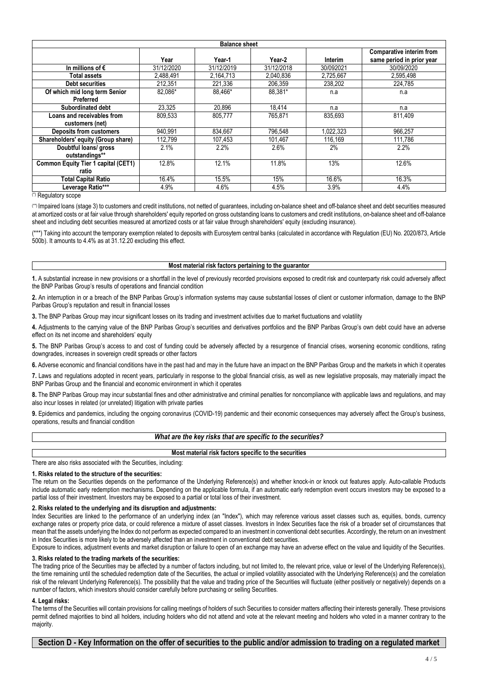| <b>Balance sheet</b>                       |            |            |            |           |                                 |
|--------------------------------------------|------------|------------|------------|-----------|---------------------------------|
|                                            |            |            |            |           | <b>Comparative interim from</b> |
|                                            | Year       | Year-1     | Year-2     | Interim   | same period in prior year       |
| In millions of $\epsilon$                  | 31/12/2020 | 31/12/2019 | 31/12/2018 | 30/092021 | 30/09/2020                      |
| Total assets                               | 2,488,491  | 2,164,713  | 2,040,836  | 2,725,667 | 2,595,498                       |
| <b>Debt securities</b>                     | 212,351    | 221,336    | 206.359    | 238,202   | 224,785                         |
| Of which mid long term Senior              | 82.086*    | 88.466*    | 88.381*    | n.a       | n.a                             |
| Preferred                                  |            |            |            |           |                                 |
| Subordinated debt                          | 23.325     | 20.896     | 18,414     | n.a       | n.a                             |
| Loans and receivables from                 | 809,533    | 805,777    | 765,871    | 835,693   | 811.409                         |
| customers (net)                            |            |            |            |           |                                 |
| <b>Deposits from customers</b>             | 940.991    | 834,667    | 796,548    | 1.022.323 | 966.257                         |
| Shareholders' equity (Group share)         | 112.799    | 107.453    | 101.467    | 116.169   | 111.786                         |
| Doubtful loans/ gross                      | 2.1%       | 2.2%       | 2.6%       | 2%        | 2.2%                            |
| outstandings**                             |            |            |            |           |                                 |
| <b>Common Equity Tier 1 capital (CET1)</b> | 12.8%      | 12.1%      | 11.8%      | 13%       | 12.6%                           |
| ratio                                      |            |            |            |           |                                 |
| Total Capital Ratio                        | 16.4%      | 15.5%      | 15%        | 16.6%     | 16.3%                           |
| Leverage Ratio***                          | 4.9%       | 4.6%       | 4.5%       | 3.9%      | 4.4%                            |

(\*) Regulatory scope

(\*\*) Impaired loans (stage 3) to customers and credit institutions, not netted of guarantees, including on-balance sheet and off-balance sheet and debt securities measured at amortized costs or at fair value through shareholders' equity reported on gross outstanding loans to customers and credit institutions, on-balance sheet and off-balance sheet and including debt securities measured at amortized costs or at fair value through shareholders' equity (excluding insurance).

(\*\*\*) Taking into account the temporary exemption related to deposits with Eurosytem central banks (calculated in accordance with Regulation (EU) No. 2020/873, Article 500b). It amounts to 4.4% as at 31.12.20 excluding this effect.

#### **Most material risk factors pertaining to the guarantor**

**1.** A substantial increase in new provisions or a shortfall in the level of previously recorded provisions exposed to credit risk and counterparty risk could adversely affect the BNP Paribas Group's results of operations and financial condition

**2.** An interruption in or a breach of the BNP Paribas Group's information systems may cause substantial losses of client or customer information, damage to the BNP Paribas Group's reputation and result in financial losses

**3.** The BNP Paribas Group may incur significant losses on its trading and investment activities due to market fluctuations and volatility

**4.** Adjustments to the carrying value of the BNP Paribas Group's securities and derivatives portfolios and the BNP Paribas Group's own debt could have an adverse effect on its net income and shareholders' equity

**5.** The BNP Paribas Group's access to and cost of funding could be adversely affected by a resurgence of financial crises, worsening economic conditions, rating downgrades, increases in sovereign credit spreads or other factors

**6.** Adverse economic and financial conditions have in the past had and may in the future have an impact on the BNP Paribas Group and the markets in which it operates

**7.** Laws and regulations adopted in recent years, particularly in response to the global financial crisis, as well as new legislative proposals, may materially impact the BNP Paribas Group and the financial and economic environment in which it operates

**8.** The BNP Paribas Group may incur substantial fines and other administrative and criminal penalties for noncompliance with applicable laws and regulations, and may also incur losses in related (or unrelated) litigation with private parties

**9.** Epidemics and pandemics, including the ongoing coronavirus (COVID-19) pandemic and their economic consequences may adversely affect the Group's business, operations, results and financial condition

**Most material risk factors specific to the securities**

There are also risks associated with the Securities, including:

# **1. Risks related to the structure of the securities:**

The return on the Securities depends on the performance of the Underlying Reference(s) and whether knock-in or knock out features apply. Auto-callable Products include automatic early redemption mechanisms. Depending on the applicable formula, if an automatic early redemption event occurs investors may be exposed to a partial loss of their investment. Investors may be exposed to a partial or total loss of their investment.

#### **2. Risks related to the underlying and its disruption and adjustments:**

Index Securities are linked to the performance of an underlying index (an "Index"), which may reference various asset classes such as, equities, bonds, currency exchange rates or property price data, or could reference a mixture of asset classes. Investors in Index Securities face the risk of a broader set of circumstances that mean that the assets underlying the Index do not perform as expected compared to an investment in conventional debt securities. Accordingly, the return on an investment in Index Securities is more likely to be adversely affected than an investment in conventional debt securities.

Exposure to indices, adjustment events and market disruption or failure to open of an exchange may have an adverse effect on the value and liquidity of the Securities.

**3. Risks related to the trading markets of the securities:**

The trading price of the Securities may be affected by a number of factors including, but not limited to, the relevant price, value or level of the Underlying Reference(s), the time remaining until the scheduled redemption date of the Securities, the actual or implied volatility associated with the Underlying Reference(s) and the correlation risk of the relevant Underlying Reference(s). The possibility that the value and trading price of the Securities will fluctuate (either positively or negatively) depends on a number of factors, which investors should consider carefully before purchasing or selling Securities.

## **4. Legal risks:**

The terms of the Securities will contain provisions for calling meetings of holders of such Securities to consider matters affecting their interests generally. These provisions permit defined majorities to bind all holders, including holders who did not attend and vote at the relevant meeting and holders who voted in a manner contrary to the majority.

**Section D - Key Information on the offer of securities to the public and/or admission to trading on a regulated market**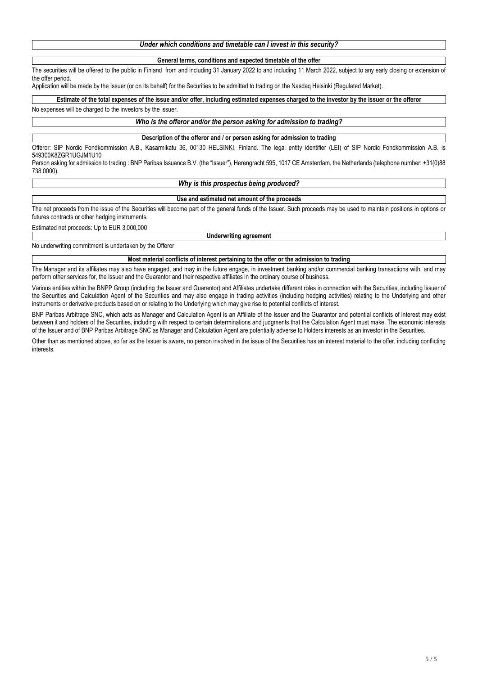| Under which conditions and timetable can I invest in this security? |
|---------------------------------------------------------------------|
|---------------------------------------------------------------------|

#### **General terms, conditions and expected timetable of the offer**

The securities will be offered to the public in Finland from and including 31 January 2022 to and including 11 March 2022, subject to any early closing or extension of the offer period.

Application will be made by the Issuer (or on its behalf) for the Securities to be admitted to trading on the Nasdaq Helsinki (Regulated Market).

**Estimate of the total expenses of the issue and/or offer, including estimated expenses charged to the investor by the issuer or the offeror**

#### No expenses will be charged to the investors by the issuer.

# *Who is the offeror and/or the person asking for admission to trading?*

#### **Description of the offeror and / or person asking for admission to trading**

Offeror: SIP Nordic Fondkommission A.B., Kasarmikatu 36, 00130 HELSINKI, Finland. The legal entity identifier (LEI) of SIP Nordic Fondkommission A.B. is 549300K8ZGR1UGJM1U10

Person asking for admission to trading : BNP Paribas Issuance B.V. (the "Issuer"), Herengracht 595, 1017 CE Amsterdam, the Netherlands (telephone number: +31(0)88 738 0000).

# *Why is this prospectus being produced?*

### **Use and estimated net amount of the proceeds**

The net proceeds from the issue of the Securities will become part of the general funds of the Issuer. Such proceeds may be used to maintain positions in options or futures contracts or other hedging instruments.

Estimated net proceeds: Up to EUR 3,000,000

**Underwriting agreement**

No underwriting commitment is undertaken by the Offeror

# **Most material conflicts of interest pertaining to the offer or the admission to trading**

The Manager and its affiliates may also have engaged, and may in the future engage, in investment banking and/or commercial banking transactions with, and may perform other services for, the Issuer and the Guarantor and their respective affiliates in the ordinary course of business.

Various entities within the BNPP Group (including the Issuer and Guarantor) and Affiliates undertake different roles in connection with the Securities, including Issuer of the Securities and Calculation Agent of the Securities and may also engage in trading activities (including hedging activities) relating to the Underlying and other instruments or derivative products based on or relating to the Underlying which may give rise to potential conflicts of interest.

BNP Paribas Arbitrage SNC, which acts as Manager and Calculation Agent is an Affiliate of the Issuer and the Guarantor and potential conflicts of interest may exist between it and holders of the Securities, including with respect to certain determinations and judgments that the Calculation Agent must make. The economic interests of the Issuer and of BNP Paribas Arbitrage SNC as Manager and Calculation Agent are potentially adverse to Holders interests as an investor in the Securities.

Other than as mentioned above, so far as the Issuer is aware, no person involved in the issue of the Securities has an interest material to the offer, including conflicting interests.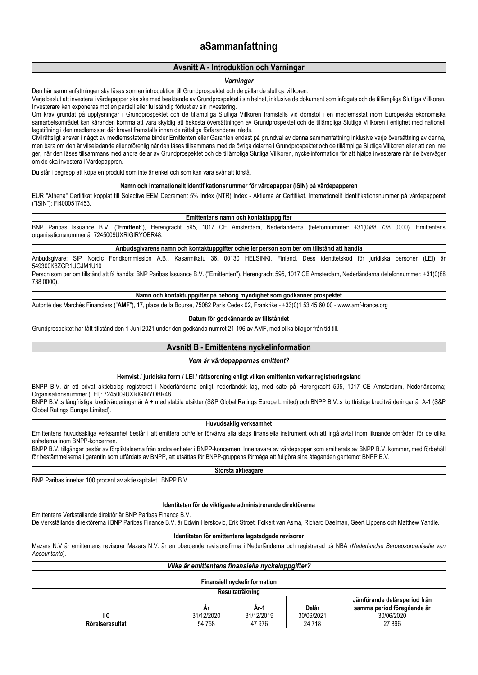# **aSammanfattning**

# **Avsnitt A - Introduktion och Varningar**

# *Varningar*

Den här sammanfattningen ska läsas som en introduktion till Grundprospektet och de gällande slutliga villkoren.

Varje beslut att investera i värdepapper ska ske med beaktande av Grundprospektet i sin helhet, inklusive de dokument som infogats och de tillämpliga Slutliga Villkoren. Investerare kan exponeras mot en partiell eller fullständig förlust av sin investering.

Om krav grundat på upplysningar i Grundprospektet och de tillämpliga Slutliga Villkoren framställs vid domstol i en medlemsstat inom Europeiska ekonomiska samarbetsområdet kan käranden komma att vara skyldig att bekosta översättningen av Grundprospektet och de tillämpliga Slutliga Villkoren i enlighet med nationell lagstiftning i den medlemsstat där kravet framställs innan de rättsliga förfarandena inleds.

Civilrättsligt ansvar i något av medlemsstaterna binder Emittenten eller Garanten endast på grundval av denna sammanfattning inklusive varje översättning av denna, men bara om den är vilseledande eller oförenlig när den läses tillsammans med de övriga delarna i Grundprospektet och de tillämpliga Slutliga Villkoren eller att den inte ger, när den läses tillsammans med andra delar av Grundprospektet och de tillämpliga Slutliga Villkoren, nyckelinformation för att hjälpa investerare när de överväger om de ska investera i Värdepappren.

Du står i begrepp att köpa en produkt som inte är enkel och som kan vara svår att förstå.

#### **Namn och internationellt identifikationsnummer för värdepapper (ISIN) på värdepapperen**

EUR "Athena" Certifikat kopplat till Solactive EEM Decrement 5% Index (NTR) Index - Aktierna är Certifikat. Internationellt identifikationsnummer på värdepapperet ("ISIN"): FI4000517453.

#### **Emittentens namn och kontaktuppgifter**

BNP Paribas Issuance B.V. ("**Emittent**"), Herengracht 595, 1017 CE Amsterdam, Nederländerna (telefonnummer: +31(0)88 738 0000). Emittentens organisationsnummer är 7245009UXRIGIRYOBR48.

**Anbudsgivarens namn och kontaktuppgifter och/eller person som ber om tillstånd att handla**

Anbudsgivare: SIP Nordic Fondkommission A.B., Kasarmikatu 36, 00130 HELSINKI, Finland. Dess identitetskod för juridiska personer (LEI) 549300K8ZGR1UGJM1U10

Person som ber om tillstånd att få handla: BNP Paribas Issuance B.V. ("Emittenten"), Herengracht 595, 1017 CE Amsterdam, Nederländerna (telefonnummer: +31(0)88 738 0000).

**Namn och kontaktuppgifter på behörig myndighet som godkänner prospektet**

Autorité des Marchés Financiers ("**AMF**"), 17, place de la Bourse, 75082 Paris Cedex 02, Frankrike - +33(0)1 53 45 60 00 - www.amf-france.org

#### **Datum för godkännande av tillståndet**

Grundprospektet har fått tillstånd den 1 Juni 2021 under den godkända numret 21-196 av AMF, med olika bilagor från tid till.

# **Avsnitt B - Emittentens nyckelinformation**

#### *Vem är värdepappernas emittent?*

**Hemvist / juridiska form / LEI / rättsordning enligt vilken emittenten verkar registreringsland**

BNPP B.V. är ett privat aktiebolag registrerat i Nederländerna enligt nederländsk lag, med säte på Herengracht 595, 1017 CE Amsterdam, Nederländerna; Organisationsnummer (LEI): 7245009UXRIGIRYOBR48.

BNPP B.V.:s långfristiga kreditvärderingar är A + med stabila utsikter (S&P Global Ratings Europe Limited) och BNPP B.V.:s kortfristiga kreditvärderingar är A-1 (S&P Global Ratings Europe Limited).

#### **Huvudsaklig verksamhet**

Emittentens huvudsakliga verksamhet består i att emittera och/eller förvärva alla slags finansiella instrument och att ingå avtal inom liknande områden för de olika enheterna inom BNPP-koncernen.

BNPP B.V. tillgångar består av förpliktelserna från andra enheter i BNPP-koncernen. Innehavare av värdepapper som emitterats av BNPP B.V. kommer, med förbehåll för bestämmelserna i garantin som utfärdats av BNPP, att utsättas för BNPP-gruppens förmåga att fullgöra sina åtaganden gentemot BNPP B.V.

# **Största aktieägare**

BNP Paribas innehar 100 procent av aktiekapitalet i BNPP B.V.

# **Identiteten för de viktigaste administrerande direktörerna**

Emittentens Verkställande direktör är BNP Paribas Finance B.V.

De Verkställande direktörerna i BNP Paribas Finance B.V. är Edwin Herskovic, Erik Stroet, Folkert van Asma, Richard Daelman, Geert Lippens och Matthew Yandle.

#### **Identiteten för emittentens lagstadgade revisorer**

Mazars N.V är emittentens revisorer Mazars N.V. är en oberoende revisionsfirma i Nederländerna och registrerad på NBA (*Nederlandse Beroepsorganisatie van Accountants*).

# *Vilka är emittentens finansiella nyckeluppgifter?*

| <b>Finansiell nyckelinformation</b> |            |            |            |                                                            |
|-------------------------------------|------------|------------|------------|------------------------------------------------------------|
| Resultaträkning                     |            |            |            |                                                            |
|                                     | Ar         | Ar-1       | Delår      | Jämförande delårsperiod från<br>samma period föregående år |
|                                     | 31/12/2020 | 31/12/2019 | 30/06/2021 | 30/06/2020                                                 |
| Rörelseresultat                     | 54 758     | 47 976     | 24 7 18    | 27896                                                      |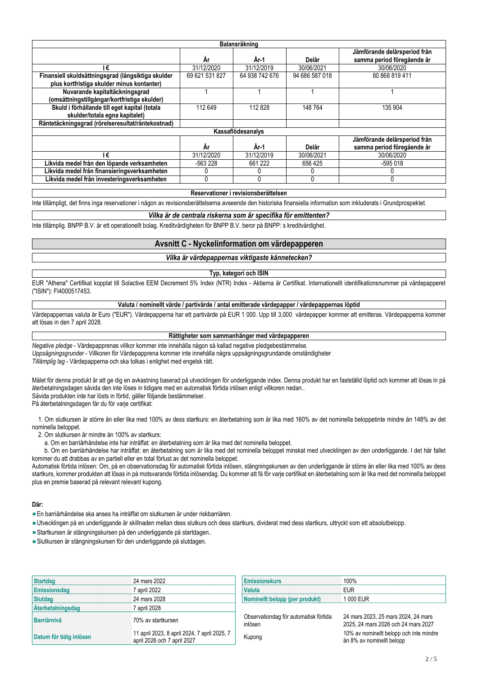| Balansräkning                                      |                |                |                |                                                            |  |  |
|----------------------------------------------------|----------------|----------------|----------------|------------------------------------------------------------|--|--|
|                                                    | Ar             | År-1           | Delår          | Jämförande delårsperiod från<br>samma period föregående år |  |  |
| I€                                                 | 31/12/2020     | 31/12/2019     | 30/06/2021     | 30/06/2020                                                 |  |  |
| Finansiell skuldsättningsgrad (långsiktiga skulder | 69 621 531 827 | 64 938 742 676 | 94 686 587 018 | 80 868 819 411                                             |  |  |
| plus kortfristiga skulder minus kontanter)         |                |                |                |                                                            |  |  |
| Nuvarande kapitaltäckningsgrad                     |                |                |                |                                                            |  |  |
| (omsättningstillgångar/kortfristiga skulder)       |                |                |                |                                                            |  |  |
| Skuld i förhållande till eget kapital (totala      | 112 649        | 112828         | 148 764        | 135 904                                                    |  |  |
| skulder/totala egna kapitalet)                     |                |                |                |                                                            |  |  |
| Räntetäckningsgrad (rörelseresultat/räntekostnad)  |                |                |                |                                                            |  |  |
| Kassaflödesanalys                                  |                |                |                |                                                            |  |  |
|                                                    |                |                |                | Jämförande delårsperiod från                               |  |  |
|                                                    | Ar             | År-1           | Delår          | samma period föregående år                                 |  |  |
| I€                                                 | 31/12/2020     | 31/12/2019     | 30/06/2021     | 30/06/2020                                                 |  |  |
| Likvida medel från den löpande verksamheten        | -563 228       | 661 222        | 656 425        | -595 018                                                   |  |  |
| Likvida medel från finansieringsverksamheten       |                |                |                |                                                            |  |  |
| Likvida medel från investeringsverksamheten        |                |                |                |                                                            |  |  |

**Reservationer i revisionsberättelsen**

Inte tillämpligt, det finns inga reservationer i någon av revisionsberättelserna avseende den historiska finansiella information som inkluderats i Grundprospektet.

## *Vilka är de centrala riskerna som är specifika för emittenten?*

Inte tillämplig. BNPP B.V. är ett operationellt bolag. Kreditvärdigheten för BNPP B.V. beror på BNPP: s kreditvärdighet.

# **Avsnitt C - Nyckelinformation om värdepapperen**

# *Vilka är värdepappernas viktigaste kännetecken?*

#### **Typ, kategori och ISIN**

EUR "Athena" Certifikat kopplat till Solactive EEM Decrement 5% Index (NTR) Index - Aktierna är Certifikat. Internationellt identifikationsnummer på värdepapperet ("ISIN"): FI4000517453.

### **Valuta / nominellt värde / partivärde / antal emitterade värdepapper / värdepappernas löptid**

Värdepappernas valuta är Euro ("EUR"). Värdepapperna har ett partivärde på EUR 1 000. Upp till 3,000 värdepapper kommer att emitteras. Värdepapperna kommer att lösas in den 7 april 2028.

# **Rättigheter som sammanhänger med värdepapperen**

*Negative pledge* - Värdepapprenas villkor kommer inte innehålla någon så kallad negative pledgebestämmelse. *Uppsägningsgrunder* - Villkoren för Värdepapprena kommer inte innehålla några uppsägningsgrundande omständigheter *Tillämplig lag* - Värdepapperna och ska tolkas i enlighet med engelsk rätt.

Målet för denna produkt är att ge dig en avkastning baserad på utvecklingen för underliggande index. Denna produkt har en fastställd löptid och kommer att lösas in på återbetalningsdagen såvida den inte löses in tidigare med en automatisk förtida inlösen enligt villkoren nedan.. Såvida produkten inte har lösts in förtid, gäller följande bestämmelser.

På återbetalningsdagen får du för varje certifikat:

 1. Om slutkursen är större än eller lika med 100% av dess startkurs: en återbetalning som är lika med 160% av det nominella beloppetinte mindre än 148% av det nominella beloppet.

2. Om slutkursen är mindre än 100% av startkurs:

a. Om en barriärhändelse inte har inträffat: en återbetalning som är lika med det nominella beloppet.

 b. Om en barriärhändelse har inträffat: en återbetalning som är lika med det nominella beloppet minskat med utvecklingen av den underliggande. I det här fallet kommer du att drabbas av en partiell eller en total förlust av det nominella beloppet.

Automatisk förtida inlösen: Om, på en observationsdag för automatisk förtida inlösen, stängningskursen av den underliggande är större än eller lika med 100% av dess startkurs, kommer produkten att lösas in på motsvarande förtida inlösendag. Du kommer att få för varje certifikat en återbetalning som är lika med det nominella beloppet plus en premie baserad på relevant relevant kupong.

# **Där:**

- En barriärhändelse ska anses ha inträffat om slutkursen är under riskbarriären.
- Utvecklingen på en underliggande är skillnaden mellan dess slutkurs och dess startkurs, dividerat med dess startkurs, uttryckt som ett absolutbelopp.
- Startkursen är stängningskursen på den underliggande på startdagen..
- Slutkursen är stängningskursen för den underliggande på slutdagen.

| Startdag                 | 24 mars 2022                                                                | <b>Emissionskurs</b>                             | 100%                     |
|--------------------------|-----------------------------------------------------------------------------|--------------------------------------------------|--------------------------|
| Emissionsdag             | 7 april 2022                                                                | Valuta                                           | <b>FUR</b>               |
| Slutdag                  | 24 mars 2028                                                                | Nominellt belopp (per produkt)                   | 1 000 FUR                |
| <b>Aterbetalningsdag</b> | 7 april 2028                                                                |                                                  |                          |
| Barriärnivå              | 70% av startkursen                                                          | Observationdag för automatisk förtida<br>inlösen | 24 mars 20<br>2025, 24 m |
| Datum för tidig inlösen  | 11 april 2023, 8 april 2024, 7 april 2025, 7<br>april 2026 och 7 april 2027 | Kupong                                           | 10% av no<br>än 8% av r  |

| <b>Emissionskurs</b>           |           |
|--------------------------------|-----------|
| <b>Valuta</b>                  |           |
| Nominellt belopp (per produkt) | 1.000 FUR |

24 mars 2023, 25 mars 2024, 24 mars 2025, 24 mars 2026 och 24 mars 2027 april 20% av nominellt belopp och inte mindre<br>
2022 och 7 april 2027 av nominellt belopp och inte mindre än 8% av nominellt belopp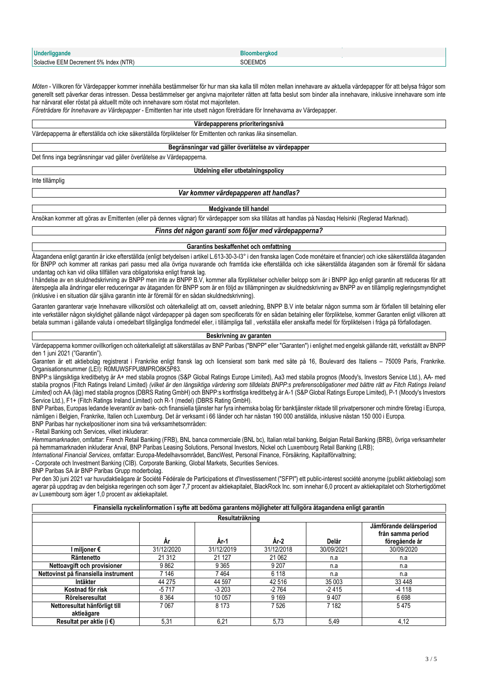| <b>Underliggande</b>                                        | Bloomberdkoo |
|-------------------------------------------------------------|--------------|
| Solactive EEM Decrement 5%<br>$\mathcal{N}$ (NTP).<br>Index | 3OEEMD5      |

*Möten* - Villkoren för Värdepapper kommer innehålla bestämmelser för hur man ska kalla till möten mellan innehavare av aktuella värdepapper för att belysa frågor som generellt sett påverkar deras intressen. Dessa bestämmelser ger angivna majoriteter rätten att fatta beslut som binder alla innehavare, inklusive innehavare som inte har närvarat eller röstat på aktuellt möte och innehavare som röstat mot majoriteten.

*Företrädare för Innehavare av Värdepapper* - Emittenten har inte utsett någon företrädare för Innehavarna av Värdepapper.

#### **Värdepapperens prioriteringsnivå**

Värdepapperna är efterställda och icke säkerställda förpliktelser för Emittenten och rankas *lika* sinsemellan.

#### **Begränsningar vad gäller överlåtelse av värdepapper**

Det finns inga begränsningar vad gäller överlåtelse av Värdepapperna.

#### **Utdelning eller utbetalningspolicy**

Inte tillämplig

#### *Var kommer värdepapperen att handlas?*

#### **Medgivande till handel**

Ansökan kommer att göras av Emittenten (eller på dennes vägnar) för värdepapper som ska tillåtas att handlas på Nasdaq Helsinki (Reglerad Marknad).

*Finns det någon garanti som följer med värdepapperna?*

#### **Garantins beskaffenhet och omfattning**

Åtagandena enligt garantin är icke efterställda (enligt betydelsen i artikel L.613-30-3-I3° i den franska lagen Code monétaire et financier) och icke säkerställda åtaganden för BNPP och kommer att rankas pari passu med alla övriga nuvarande och framtida icke efterställda och icke säkerställda åtaganden som är föremål för sådana undantag och kan vid olika tillfällen vara obligatoriska enligt fransk lag.

I händelse av en skuldnedskrivning av BNPP men inte av BNPP B.V, kommer alla förpliktelser och/eller belopp som är i BNPP ägo enligt garantin att reduceras för att återspegla alla ändringar eller reduceringar av åtaganden för BNPP som är en följd av tillämpningen av skuldnedskrivning av BNPP av en tillämplig regleringsmyndighet (inklusive i en situation där själva garantin inte är föremål för en sådan skuldnedskrivning).

Garanten garanterar varje Innehavare villkorslöst och oåterkalleligt att om, oavsett anledning, BNPP B.V inte betalar någon summa som är förfallen till betalning eller inte verkställer någon skyldighet gällande något värdepapper på dagen som specificerats för en sådan betalning eller förpliktelse, kommer Garanten enligt villkoren att betala summan i gällande valuta i omedelbart tillgängliga fondmedel eller, i tillämpliga fall , verkställa eller anskaffa medel för förpliktelsen i fråga på förfallodagen.

# **Beskrivning av garanten**

Värdepapperna kommer ovillkorligen och oåterkalleligt att säkerställas av BNP Paribas ("BNPP" eller "Garanten") i enlighet med engelsk gällande rätt, verkställt av BNPP den 1 juni 2021 ("Garantin").

Garanten är ett aktiebolag registrerat i Frankrike enligt fransk lag och licensierat som bank med säte på 16, Boulevard des Italiens – 75009 Paris, Frankrike. Organisationsnummer (LEI): R0MUWSFPU8MPRO8K5P83.

BNPP:s långsiktiga kreditbetyg är A+ med stabila prognos (S&P Global Ratings Europe Limited), Aa3 med stabila prognos (Moody's, Investors Service Ltd.), AA- med stabila prognos (Fitch Ratings Ireland Limited) *(vilket är den långsiktiga värdering som tilldelats BNPP:s preferensobligationer med bättre rätt av Fitch Ratings Ireland Limited)* och AA (låg) med stabila prognos (DBRS Rating GmbH) och BNPP:s kortfristiga kreditbetyg är A-1 (S&P Global Ratings Europe Limited), P-1 (Moody's Investors Service Ltd.), F1+ (Fitch Ratings Ireland Limited) och R-1 (medel) (DBRS Rating GmbH).

BNP Paribas, Europas ledande leverantör av bank- och finansiella tjänster har fyra inhemska bolag för banktjänster riktade till privatpersoner och mindre företag i Europa, nämligen i Belgien, Frankrike, Italien och Luxemburg. Det är verksamt i 66 länder och har nästan 190 000 anställda, inklusive nästan 150 000 i Europa.

BNP Paribas har nyckelpositioner inom sina två verksamhetsområden:

- Retail Banking och Services, vilket inkluderar:

*Hemmamarknaden*, omfattar: French Retail Banking (FRB), BNL banca commerciale (BNL bc), Italian retail banking, Belgian Retail Banking (BRB), övriga verksamheter på hemmamarknaden inkluderar Arval, BNP Paribas Leasing Solutions, Personal Investors, Nickel och Luxembourg Retail Banking (LRB);

*International Financial Services*, omfattar: Europa-Medelhavsområdet, BancWest, Personal Finance, Försäkring, Kapitalförvaltning;

- Corporate och Investment Banking (CIB). Corporate Banking, Global Markets, Securities Services.

BNP Paribas SA är BNP Paribas Grupp moderbolag.

Per den 30 juni 2021 var huvudaktieägare är Société Fédérale de Participations et d'Investissement ("SFPI") ett public-interest société anonyme (publikt aktiebolag) som agerar på uppdrag av den belgiska regeringen och som äger 7,7 procent av aktiekapitalet, BlackRock Inc. som innehar 6,0 procent av aktiekapitalet och Storhertigdömet av Luxembourg som äger 1,0 procent av aktiekapitalet.

| Finansiella nyckelinformation i syfte att bedöma garantens möjligheter att fullgöra åtagandena enligt garantin |            |            |            |            |                                                               |  |  |  |
|----------------------------------------------------------------------------------------------------------------|------------|------------|------------|------------|---------------------------------------------------------------|--|--|--|
| Resultaträkning                                                                                                |            |            |            |            |                                                               |  |  |  |
|                                                                                                                | År         | Ar-1       | Ar-2       | Delår      | Jämförande delårsperiod<br>från samma period<br>föregående år |  |  |  |
| I miljoner €                                                                                                   | 31/12/2020 | 31/12/2019 | 31/12/2018 | 30/09/2021 | 30/09/2020                                                    |  |  |  |
| Räntenetto                                                                                                     | 21 31 2    | 21 1 27    | 21 062     | n.a        | n.a                                                           |  |  |  |
| Nettoavgift och provisioner                                                                                    | 9862       | 9 3 6 5    | 9 2 0 7    | n.a        | n.a                                                           |  |  |  |
| Nettovinst på finansiella instrument                                                                           | 7 146      | 7 464      | 6 1 1 8    | n.a        | n.a                                                           |  |  |  |
| Intäkter                                                                                                       | 44 275     | 44 597     | 42516      | 35 003     | 33 4 48                                                       |  |  |  |
| Kostnad för risk                                                                                               | $-5717$    | $-3203$    | $-2764$    | $-2415$    | -4 118                                                        |  |  |  |
| Rörelseresultat                                                                                                | 8 3 6 4    | 10 057     | 9 1 6 9    | 9407       | 6698                                                          |  |  |  |
| Nettoresultat hänförligt till                                                                                  | 7067       | 8 1 7 3    | 7526       | 7 1 8 2    | 5475                                                          |  |  |  |
| aktieägare                                                                                                     |            |            |            |            |                                                               |  |  |  |
| Resultat per aktie (i €)                                                                                       | 5,31       | 6,21       | 5,73       | 5,49       | 4,12                                                          |  |  |  |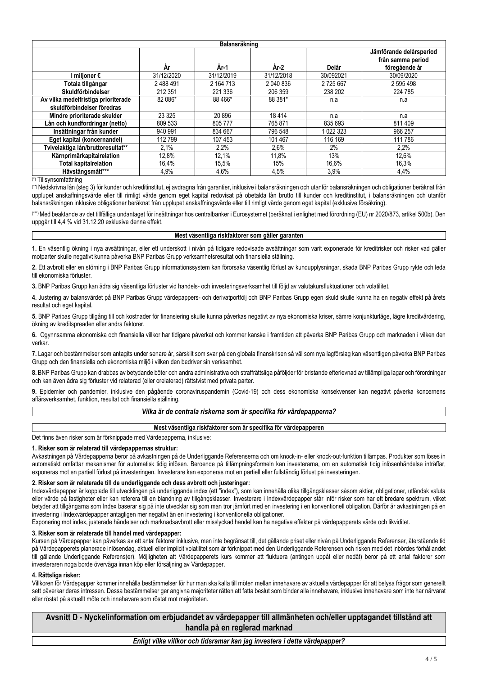| Balansräkning                       |            |            |            |           |                                                               |  |  |  |
|-------------------------------------|------------|------------|------------|-----------|---------------------------------------------------------------|--|--|--|
|                                     | År         | År-1       | År-2       | Delår     | Jämförande delårsperiod<br>från samma period<br>föregående år |  |  |  |
| l miljoner €                        | 31/12/2020 | 31/12/2019 | 31/12/2018 | 30/092021 | 30/09/2020                                                    |  |  |  |
| Totala tillgångar                   | 2 488 491  | 2 164 713  | 2 040 836  | 2725667   | 2 595 498                                                     |  |  |  |
| Skuldförbindelser                   | 212 351    | 221 336    | 206 359    | 238 202   | 224 785                                                       |  |  |  |
| Av vilka medelfristiga prioriterade | 82 086*    | 88 466*    | 88 381*    | n.a       | n.a                                                           |  |  |  |
| skuldförbindelser föredras          |            |            |            |           |                                                               |  |  |  |
| Mindre prioriterade skulder         | 23 3 25    | 20896      | 18414      | n.a       | n.a                                                           |  |  |  |
| Lån och kundfordringar (netto)      | 809 533    | 805777     | 765871     | 835 693   | 811 409                                                       |  |  |  |
| Insättningar från kunder            | 940 991    | 834 667    | 796 548    | 1 022 323 | 966 257                                                       |  |  |  |
| Eget kapital (koncernandel)         | 112799     | 107 453    | 101 467    | 116 169   | 111 786                                                       |  |  |  |
| Tvivelaktiga lån/bruttoresultat**   | 2.1%       | 2,2%       | 2,6%       | 2%        | 2,2%                                                          |  |  |  |
| Kärnprimärkapitalrelation           | 12,8%      | 12,1%      | 11,8%      | 13%       | 12,6%                                                         |  |  |  |
| <b>Total kapitalrelation</b>        | 16,4%      | 15,5%      | 15%        | 16,6%     | 16,3%                                                         |  |  |  |
| Hävstångsmått***                    | 4,9%       | 4,6%       | 4,5%       | 3,9%      | 4,4%                                                          |  |  |  |

### (\*) Tillsynsomfattning

(\*\*) Nedskrivna lån (steg 3) för kunder och kreditinstitut, ej avdragna från garantier, inklusive i balansräkningen och utanför balansräkningen och obligationer beräknat från upplupet anskaffningsvärde eller till rimligt värde genom eget kapital redovisat på obetalda lån brutto till kunder och kreditinstitut, i balansräkningen och utanför balansräkningen inklusive obligationer beräknat från upplupet anskaffningsvärde eller till rimligt värde genom eget kapital (exklusive försäkring).

(\*\*\*) Med beaktande av det tillfälliga undantaget för insättningar hos centralbanker i Eurosystemet (beräknat i enlighet med förordning (EU) nr 2020/873, artikel 500b). Den uppgår till 4,4 % vid 31.12.20 exklusive denna effekt.

#### **Mest väsentliga riskfaktorer som gäller garanten**

**1.** En väsentlig ökning i nya avsättningar, eller ett underskott i nivån på tidigare redovisade avsättningar som varit exponerade för kreditrisker och risker vad gäller motparter skulle negativt kunna påverka BNP Paribas Grupp verksamhetsresultat och finansiella ställning.

**2.** Ett avbrott eller en störning i BNP Paribas Grupp informationssystem kan förorsaka väsentlig förlust av kundupplysningar, skada BNP Paribas Grupp rykte och leda till ekonomiska förluster.

**3.** BNP Paribas Grupp kan ådra sig väsentliga förluster vid handels- och investeringsverksamhet till följd av valutakursfluktuationer och volatilitet.

**4.** Justering av balansvärdet på BNP Paribas Grupp värdepappers- och derivatportfölj och BNP Paribas Grupp egen skuld skulle kunna ha en negativ effekt på årets resultat och eget kapital.

**5.** BNP Paribas Grupp tillgång till och kostnader för finansiering skulle kunna påverkas negativt av nya ekonomiska kriser, sämre konjunkturläge, lägre kreditvärdering, ökning av kreditspreaden eller andra faktorer.

**6.** Ogynnsamma ekonomiska och finansiella villkor har tidigare påverkat och kommer kanske i framtiden att påverka BNP Paribas Grupp och marknaden i vilken den verkar.

**7.** Lagar och bestämmelser som antagits under senare år, särskilt som svar på den globala finanskrisen så väl som nya lagförslag kan väsentligen påverka BNP Paribas Grupp och den finansiella och ekonomiska miljö i vilken den bedriver sin verksamhet.

**8.** BNP Paribas Grupp kan drabbas av betydande böter och andra administrativa och straffrättsliga påföljder för bristande efterlevnad av tillämpliga lagar och förordningar och kan även ådra sig förluster vid relaterad (eller orelaterad) rättstvist med privata parter.

**9.** Epidemier och pandemier, inklusive den pågående coronaviruspandemin (Covid-19) och dess ekonomiska konsekvenser kan negativt påverka koncernens affärsverksamhet, funktion, resultat och finansiella ställning.

# *Vilka är de centrala riskerna som är specifika för värdepapperna?*

## **Mest väsentliga riskfaktorer som är specifika för värdepapperen**

Det finns även risker som är förknippade med Värdepapperna, inklusive:

# **1. Risker som är relaterad till värdepappernas struktur:**

Avkastningen på Värdepapperna beror på avkastningen på de Underliggande Referenserna och om knock-in- eller knock-out-funktion tillämpas. Produkter som löses in automatiskt omfattar mekanismer för automatisk tidig inlösen. Beroende på tillämpningsformeln kan investerarna, om en automatisk tidig inlösenhändelse inträffar, exponeras mot en partiell förlust på investeringen. Investerare kan exponeras mot en partiell eller fullständig förlust på investeringen.

#### **2. Risker som är relaterade till de underliggande och dess avbrott och justeringar:**

Indexvärdepapper är kopplade till utvecklingen på underliggande index (ett "index"), som kan innehålla olika tillgångsklasser såsom aktier, obligationer, utländsk valuta eller värde på fastigheter eller kan referera till en blandning av tillgångsklasser. Investerare i Indexvärdepapper står inför risker som har ett bredare spektrum, vilket betyder att tillgångarna som Index baserar sig på inte utvecklar sig som man tror jämfört med en investering i en konventionell obligation. Därför är avkastningen på en investering i Indexvärdepapper antagligen mer negativt än en investering i konventionella obligationer.

Exponering mot index, justerade händelser och marknadsavbrott eller misslyckad handel kan ha negativa effekter på värdepapperets värde och likviditet.

## **3. Risker som är relaterade till handel med värdepapper:**

Kursen på Värdepapper kan påverkas av ett antal faktorer inklusive, men inte begränsat till, det gällande priset eller nivån på Underliggande Referenser, återstående tid på Värdepapperets planerade inlösendag, aktuell eller implicit volatilitet som är förknippat med den Underliggande Referensen och risken med det inbördes förhållandet till gällande Underliggande Referens(er). Möjligheten att Värdepapperets kurs kommer att fluktuera (antingen uppåt eller nedåt) beror på ett antal faktorer som investeraren noga borde överväga innan köp eller försäljning av Värdepapper.

#### **4. Rättsliga risker:**

Villkoren för Värdepapper kommer innehålla bestämmelser för hur man ska kalla till möten mellan innehavare av aktuella värdepapper för att belysa frågor som generellt sett påverkar deras intressen. Dessa bestämmelser ger angivna majoriteter rätten att fatta beslut som binder alla innehavare, inklusive innehavare som inte har närvarat eller röstat på aktuellt möte och innehavare som röstat mot majoriteten.

**Avsnitt D - Nyckelinformation om erbjudandet av värdepapper till allmänheten och/eller upptagandet tillstånd att handla på en reglerad marknad**

*Enligt vilka villkor och tidsramar kan jag investera i detta värdepapper?*